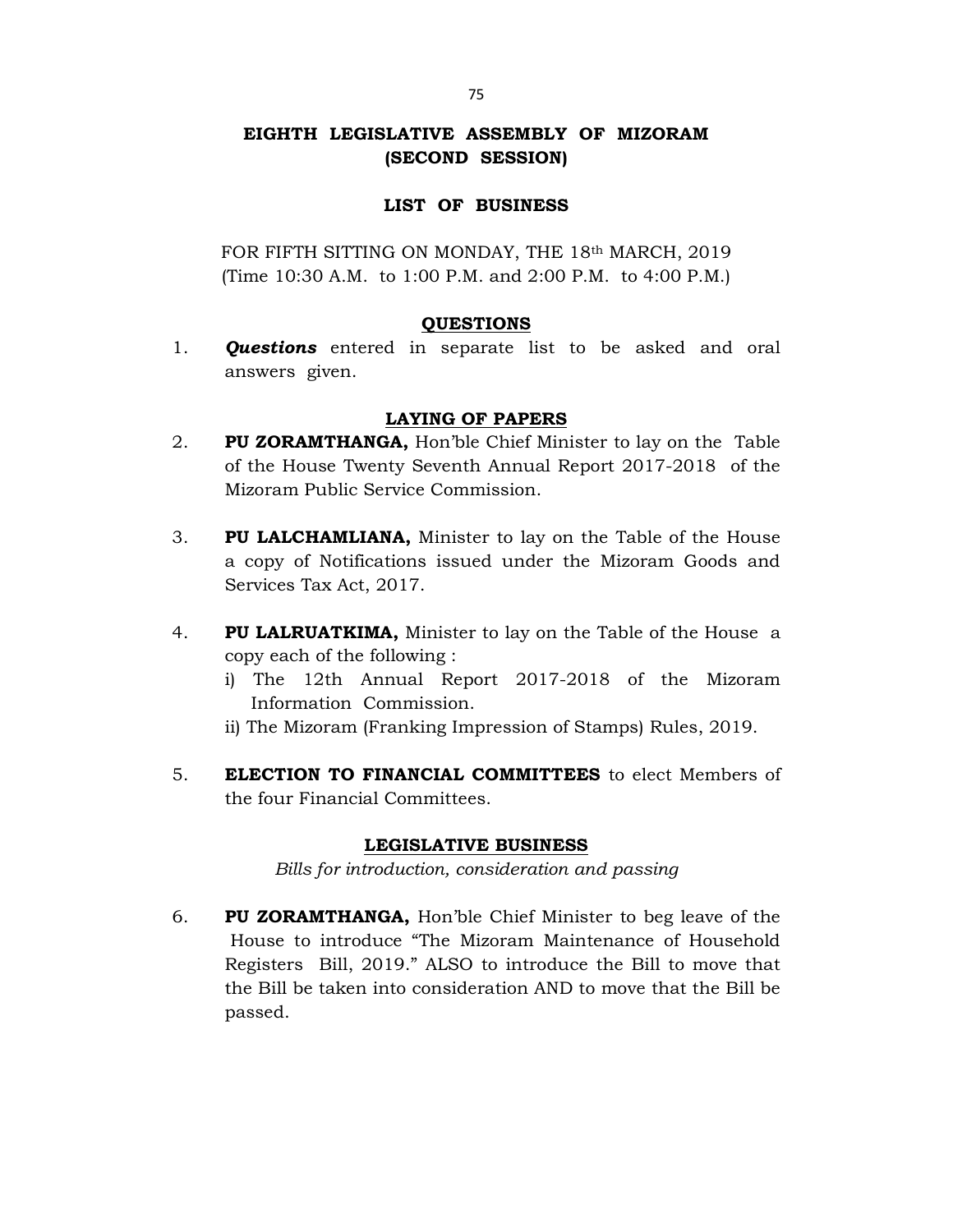# EIGHTH LEGISLATIVE ASSEMBLY OF MIZORAM (SECOND SESSION)

## LIST OF BUSINESS

FOR FIFTH SITTING ON MONDAY, THE 18th MARCH, 2019 (Time 10:30 A.M. to 1:00 P.M. and 2:00 P.M. to 4:00 P.M.)

## QUESTIONS

1. **Questions** entered in separate list to be asked and oral answers given.

## LAYING OF PAPERS

- 2. PU ZORAMTHANGA, Hon'ble Chief Minister to lay on the Table of the House Twenty Seventh Annual Report 2017-2018 of the Mizoram Public Service Commission.
- 3. PU LALCHAMLIANA, Minister to lay on the Table of the House a copy of Notifications issued under the Mizoram Goods and Services Tax Act, 2017.
- 4. PU LALRUATKIMA, Minister to lay on the Table of the House a copy each of the following :
	- i) The 12th Annual Report 2017-2018 of the Mizoram Information Commission.
	- ii) The Mizoram (Franking Impression of Stamps) Rules, 2019.
- 5. ELECTION TO FINANCIAL COMMITTEES to elect Members of the four Financial Committees.

## LEGISLATIVE BUSINESS

Bills for introduction, consideration and passing

6. PU ZORAMTHANGA, Hon'ble Chief Minister to beg leave of the House to introduce "The Mizoram Maintenance of Household Registers Bill, 2019." ALSO to introduce the Bill to move that the Bill be taken into consideration AND to move that the Bill be passed.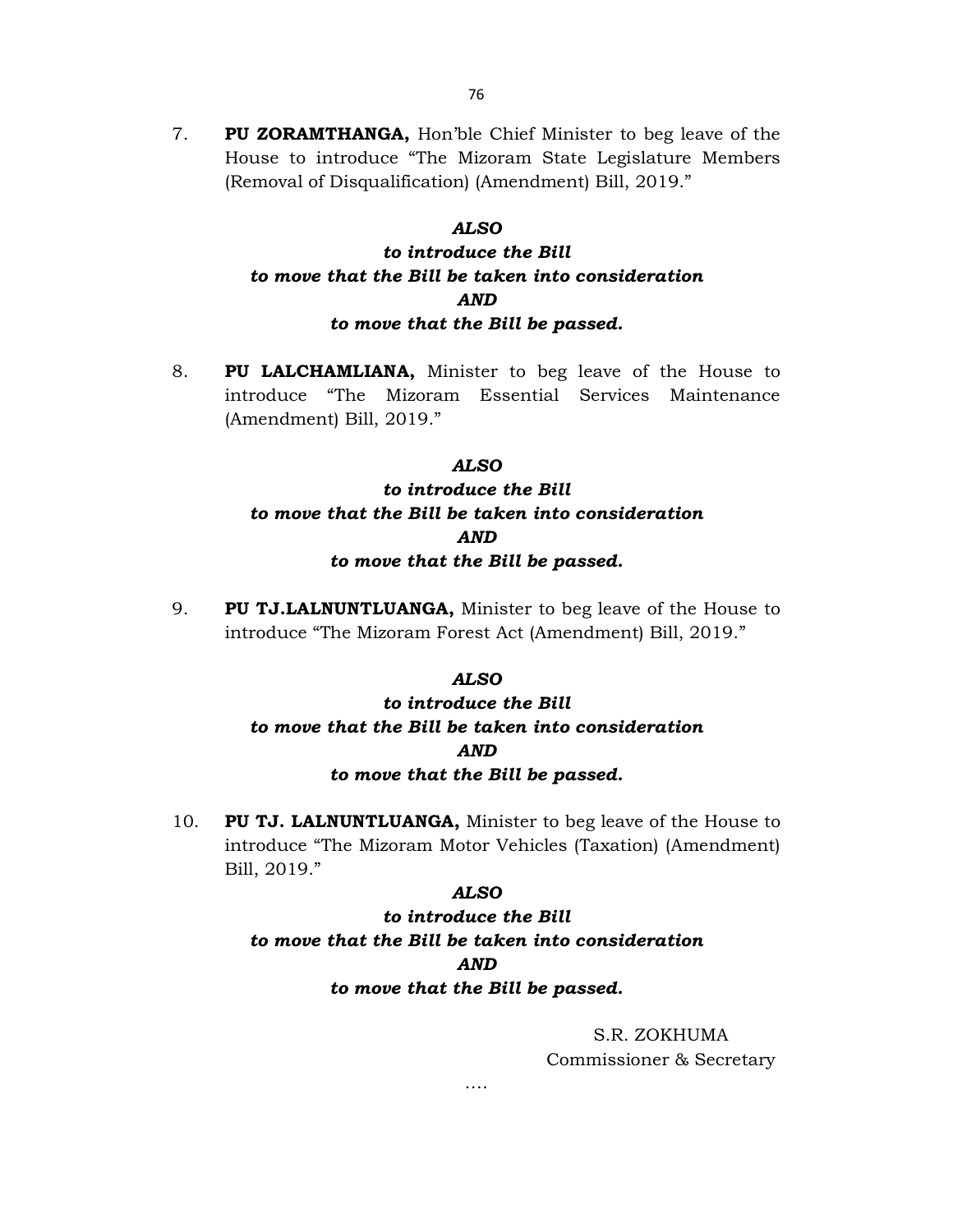7. PU ZORAMTHANGA, Hon'ble Chief Minister to beg leave of the House to introduce "The Mizoram State Legislature Members (Removal of Disqualification) (Amendment) Bill, 2019."

### ALSO

# to introduce the Bill to move that the Bill be taken into consideration AND to move that the Bill be passed.

8. PU LALCHAMLIANA, Minister to beg leave of the House to introduce "The Mizoram Essential Services Maintenance (Amendment) Bill, 2019."

### ALSO

# to introduce the Bill to move that the Bill be taken into consideration AND to move that the Bill be passed.

9. PU TJ.LALNUNTLUANGA, Minister to beg leave of the House to introduce "The Mizoram Forest Act (Amendment) Bill, 2019."

### ALSO

# to introduce the Bill to move that the Bill be taken into consideration AND to move that the Bill be passed.

10. PU TJ. LALNUNTLUANGA, Minister to beg leave of the House to introduce "The Mizoram Motor Vehicles (Taxation) (Amendment) Bill, 2019."

#### ALSO

to introduce the Bill to move that the Bill be taken into consideration AND to move that the Bill be passed.

….

S.R. ZOKHUMA Commissioner & Secretary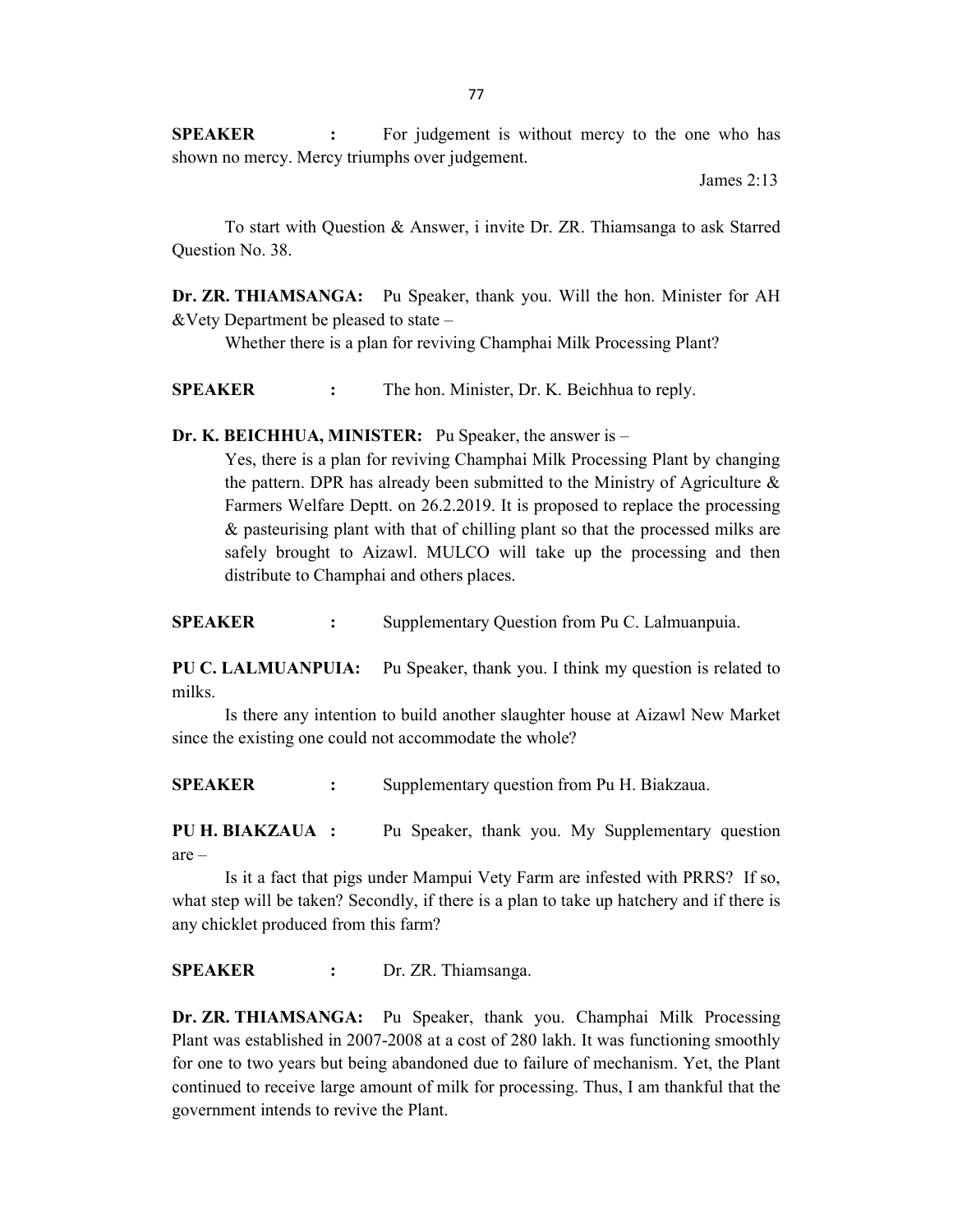**SPEAKER** : For judgement is without mercy to the one who has shown no mercy. Mercy triumphs over judgement.

James 2:13

To start with Question & Answer, i invite Dr. ZR. Thiamsanga to ask Starred Question No. 38.

Dr. ZR. THIAMSANGA: Pu Speaker, thank you. Will the hon. Minister for AH &Vety Department be pleased to state –

Whether there is a plan for reviving Champhai Milk Processing Plant?

SPEAKER : The hon. Minister, Dr. K. Beichhua to reply.

### Dr. K. BEICHHUA, MINISTER: Pu Speaker, the answer is –

Yes, there is a plan for reviving Champhai Milk Processing Plant by changing the pattern. DPR has already been submitted to the Ministry of Agriculture  $\&$  Farmers Welfare Deptt. on 26.2.2019. It is proposed to replace the processing & pasteurising plant with that of chilling plant so that the processed milks are safely brought to Aizawl. MULCO will take up the processing and then distribute to Champhai and others places.

SPEAKER : Supplementary Question from Pu C. Lalmuanpuia.

PU C. LALMUANPUIA: Pu Speaker, thank you. I think my question is related to milks.

 Is there any intention to build another slaughter house at Aizawl New Market since the existing one could not accommodate the whole?

SPEAKER : Supplementary question from Pu H. Biakzaua.

PU H. BIAKZAUA : Pu Speaker, thank you. My Supplementary question are –

 Is it a fact that pigs under Mampui Vety Farm are infested with PRRS? If so, what step will be taken? Secondly, if there is a plan to take up hatchery and if there is any chicklet produced from this farm?

SPEAKER : Dr. ZR. Thiamsanga.

Dr. ZR. THIAMSANGA: Pu Speaker, thank you. Champhai Milk Processing Plant was established in 2007-2008 at a cost of 280 lakh. It was functioning smoothly for one to two years but being abandoned due to failure of mechanism. Yet, the Plant continued to receive large amount of milk for processing. Thus, I am thankful that the government intends to revive the Plant.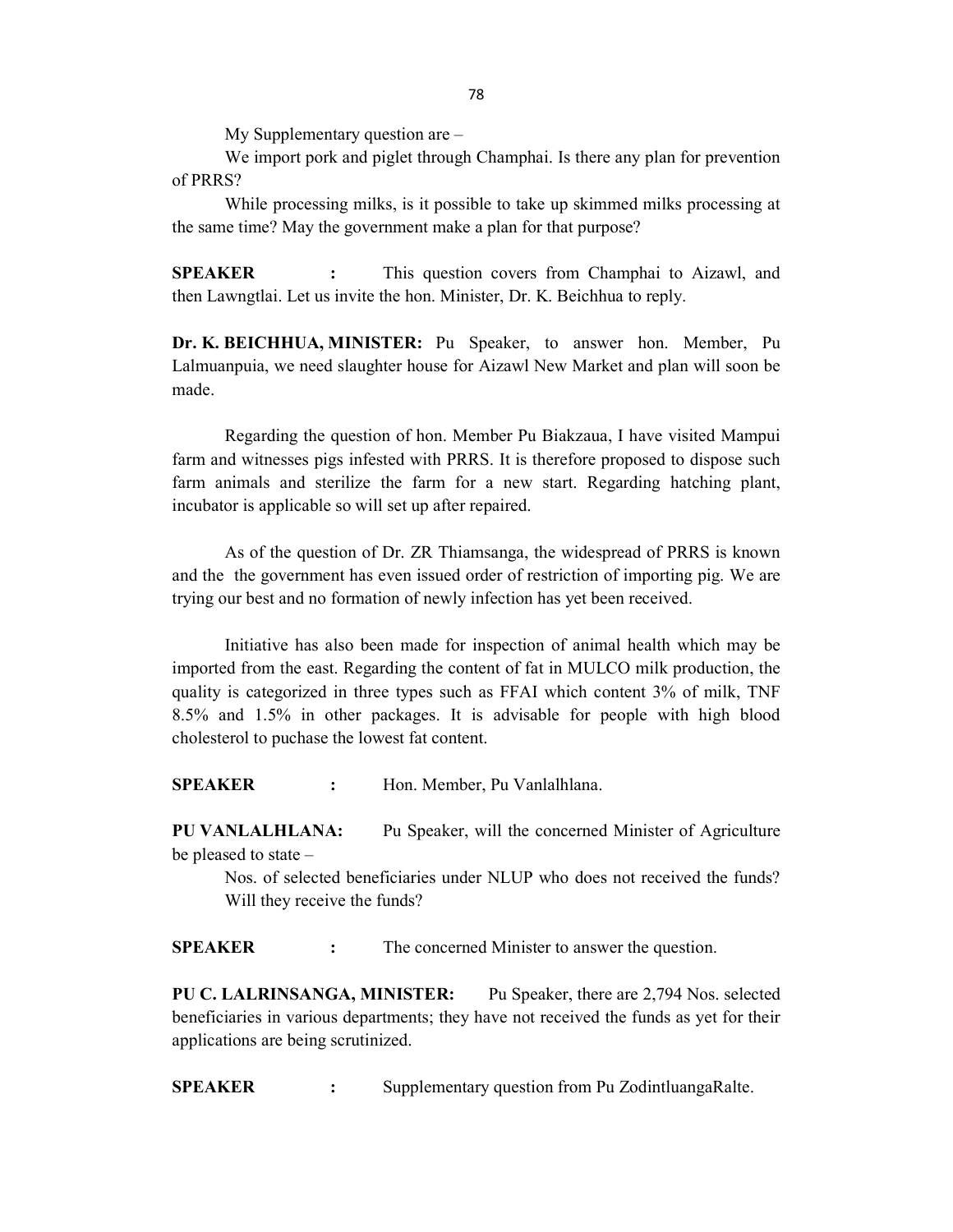My Supplementary question are –

 We import pork and piglet through Champhai. Is there any plan for prevention of PRRS?

 While processing milks, is it possible to take up skimmed milks processing at the same time? May the government make a plan for that purpose?

SPEAKER : This question covers from Champhai to Aizawl, and then Lawngtlai. Let us invite the hon. Minister, Dr. K. Beichhua to reply.

Dr. K. BEICHHUA, MINISTER: Pu Speaker, to answer hon. Member, Pu Lalmuanpuia, we need slaughter house for Aizawl New Market and plan will soon be made.

 Regarding the question of hon. Member Pu Biakzaua, I have visited Mampui farm and witnesses pigs infested with PRRS. It is therefore proposed to dispose such farm animals and sterilize the farm for a new start. Regarding hatching plant, incubator is applicable so will set up after repaired.

 As of the question of Dr. ZR Thiamsanga, the widespread of PRRS is known and the the government has even issued order of restriction of importing pig. We are trying our best and no formation of newly infection has yet been received.

 Initiative has also been made for inspection of animal health which may be imported from the east. Regarding the content of fat in MULCO milk production, the quality is categorized in three types such as FFAI which content 3% of milk, TNF 8.5% and 1.5% in other packages. It is advisable for people with high blood cholesterol to puchase the lowest fat content.

SPEAKER : Hon. Member, Pu Vanlalhlana.

PU VANLALHLANA: Pu Speaker, will the concerned Minister of Agriculture be pleased to state –

 Nos. of selected beneficiaries under NLUP who does not received the funds? Will they receive the funds?

SPEAKER : The concerned Minister to answer the question.

PU C. LALRINSANGA, MINISTER: Pu Speaker, there are 2,794 Nos. selected beneficiaries in various departments; they have not received the funds as yet for their applications are being scrutinized.

SPEAKER : Supplementary question from Pu ZodintluangaRalte.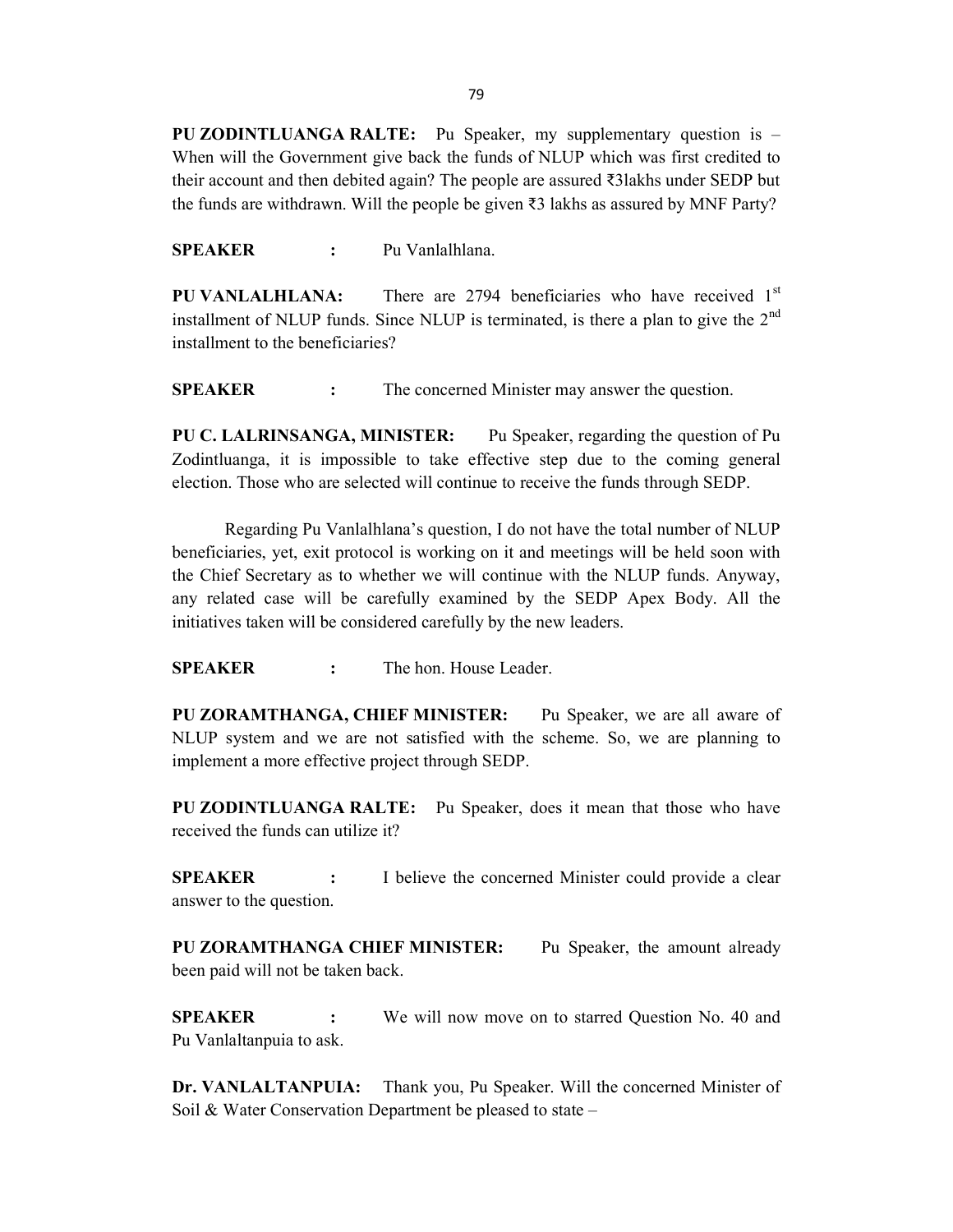PU ZODINTLUANGA RALTE: Pu Speaker, my supplementary question is – When will the Government give back the funds of NLUP which was first credited to their account and then debited again? The people are assured ₹3lakhs under SEDP but the funds are withdrawn. Will the people be given ₹3 lakhs as assured by MNF Party?

SPEAKER : Pu Vanlalhlana.

**PU VANLALHLANA:** There are 2794 beneficiaries who have received  $1<sup>st</sup>$ installment of NLUP funds. Since NLUP is terminated, is there a plan to give the  $2<sup>nd</sup>$ installment to the beneficiaries?

**SPEAKER** : The concerned Minister may answer the question.

PU C. LALRINSANGA, MINISTER: Pu Speaker, regarding the question of Pu Zodintluanga, it is impossible to take effective step due to the coming general election. Those who are selected will continue to receive the funds through SEDP.

Regarding Pu Vanlalhlana's question, I do not have the total number of NLUP beneficiaries, yet, exit protocol is working on it and meetings will be held soon with the Chief Secretary as to whether we will continue with the NLUP funds. Anyway, any related case will be carefully examined by the SEDP Apex Body. All the initiatives taken will be considered carefully by the new leaders.

SPEAKER : The hon. House Leader.

PU ZORAMTHANGA, CHIEF MINISTER: Pu Speaker, we are all aware of NLUP system and we are not satisfied with the scheme. So, we are planning to implement a more effective project through SEDP.

PU ZODINTLUANGA RALTE: Pu Speaker, does it mean that those who have received the funds can utilize it?

SPEAKER : I believe the concerned Minister could provide a clear answer to the question.

PU ZORAMTHANGA CHIEF MINISTER: Pu Speaker, the amount already been paid will not be taken back.

**SPEAKER** : We will now move on to starred Question No. 40 and Pu Vanlaltanpuia to ask.

Dr. VANLALTANPUIA: Thank you, Pu Speaker. Will the concerned Minister of Soil & Water Conservation Department be pleased to state –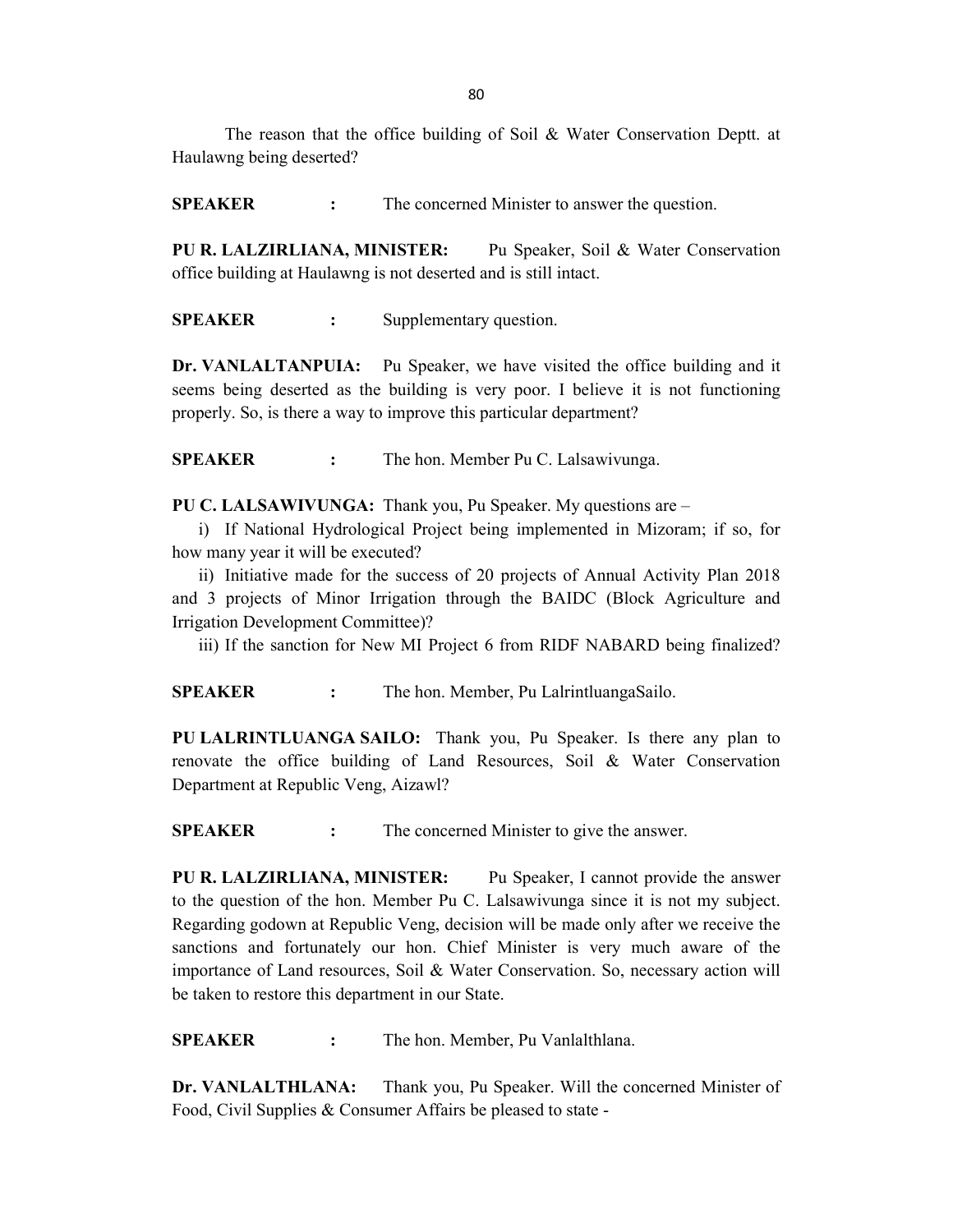80

 The reason that the office building of Soil & Water Conservation Deptt. at Haulawng being deserted?

SPEAKER : The concerned Minister to answer the question.

PU R. LALZIRLIANA, MINISTER: Pu Speaker, Soil & Water Conservation office building at Haulawng is not deserted and is still intact.

SPEAKER : Supplementary question.

Dr. VANLALTANPUIA: Pu Speaker, we have visited the office building and it seems being deserted as the building is very poor. I believe it is not functioning properly. So, is there a way to improve this particular department?

SPEAKER : The hon. Member Pu C. Lalsawivunga.

PU C. LALSAWIVUNGA: Thank you, Pu Speaker. My questions are –

i) If National Hydrological Project being implemented in Mizoram; if so, for how many year it will be executed?

ii) Initiative made for the success of 20 projects of Annual Activity Plan 2018 and 3 projects of Minor Irrigation through the BAIDC (Block Agriculture and Irrigation Development Committee)?

iii) If the sanction for New MI Project 6 from RIDF NABARD being finalized?

SPEAKER : The hon. Member, Pu LalrintluangaSailo.

PU LALRINTLUANGA SAILO: Thank you, Pu Speaker. Is there any plan to renovate the office building of Land Resources, Soil & Water Conservation Department at Republic Veng, Aizawl?

SPEAKER : The concerned Minister to give the answer.

PU R. LALZIRLIANA, MINISTER: Pu Speaker, I cannot provide the answer to the question of the hon. Member Pu C. Lalsawivunga since it is not my subject. Regarding godown at Republic Veng, decision will be made only after we receive the sanctions and fortunately our hon. Chief Minister is very much aware of the importance of Land resources, Soil & Water Conservation. So, necessary action will be taken to restore this department in our State.

SPEAKER : The hon. Member, Pu Vanlalthlana.

Dr. VANLALTHLANA: Thank you, Pu Speaker. Will the concerned Minister of Food, Civil Supplies & Consumer Affairs be pleased to state -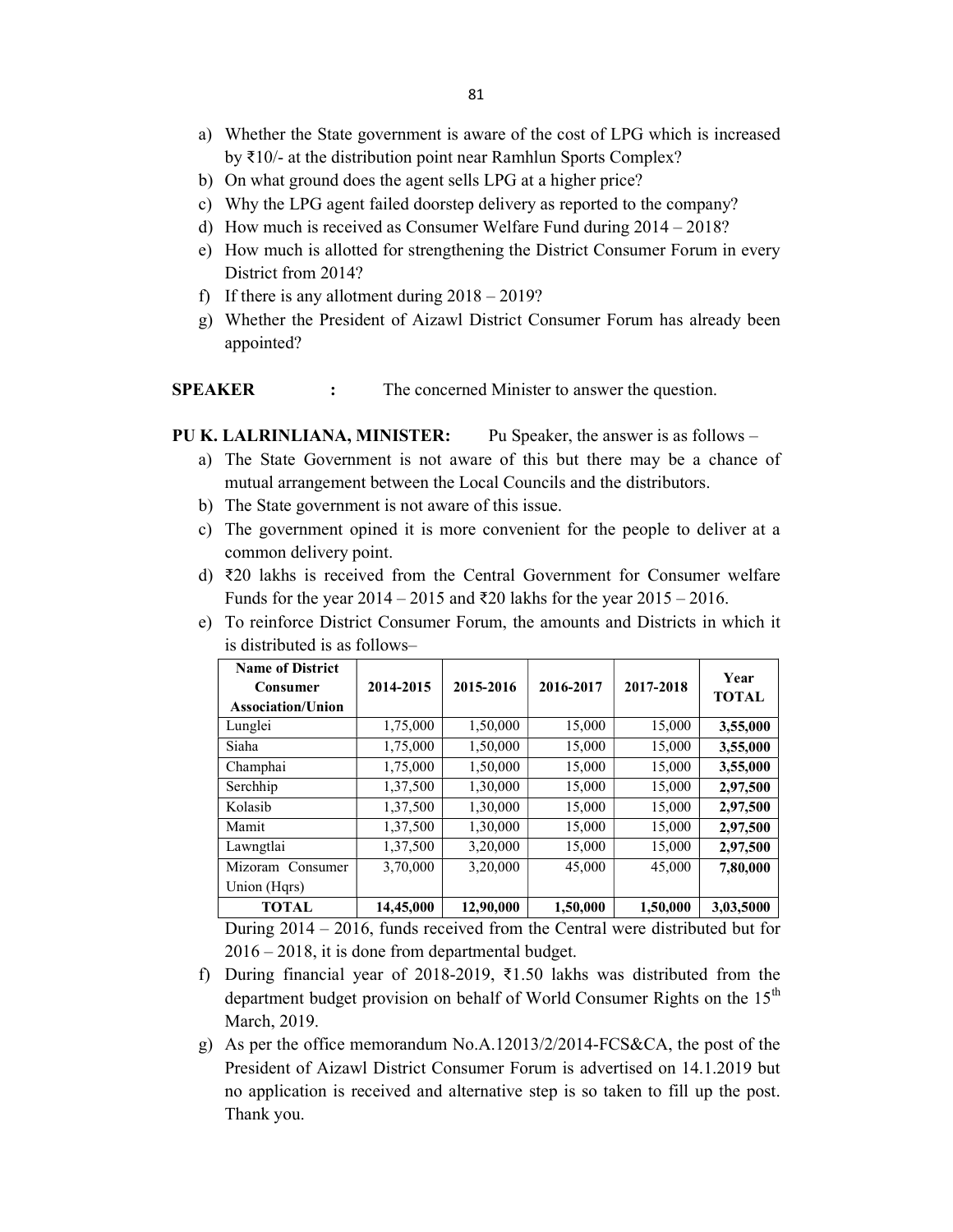- a) Whether the State government is aware of the cost of LPG which is increased by ₹10/- at the distribution point near Ramhlun Sports Complex?
- b) On what ground does the agent sells LPG at a higher price?
- c) Why the LPG agent failed doorstep delivery as reported to the company?
- d) How much is received as Consumer Welfare Fund during 2014 2018?
- e) How much is allotted for strengthening the District Consumer Forum in every District from 2014?
- f) If there is any allotment during  $2018 2019$ ?
- g) Whether the President of Aizawl District Consumer Forum has already been appointed?

**SPEAKER** : The concerned Minister to answer the question.

PU K. LALRINLIANA, MINISTER: Pu Speaker, the answer is as follows –

- a) The State Government is not aware of this but there may be a chance of mutual arrangement between the Local Councils and the distributors.
- b) The State government is not aware of this issue.
- c) The government opined it is more convenient for the people to deliver at a common delivery point.
- d) ₹20 lakhs is received from the Central Government for Consumer welfare Funds for the year 2014 – 2015 and ₹20 lakhs for the year 2015 – 2016.
- e) To reinforce District Consumer Forum, the amounts and Districts in which it is distributed is as follows–

| <b>Name of District</b><br>Consumer<br>Association/Union | 2014-2015 | 2015-2016 | 2016-2017 | 2017-2018 | Year<br><b>TOTAL</b> |
|----------------------------------------------------------|-----------|-----------|-----------|-----------|----------------------|
| Lunglei                                                  | 1,75,000  | 1,50,000  | 15,000    | 15,000    | 3,55,000             |
| Siaha                                                    | 1,75,000  | 1,50,000  | 15,000    | 15,000    | 3,55,000             |
| Champhai                                                 | 1,75,000  | 1,50,000  | 15,000    | 15,000    | 3,55,000             |
| Serchhip                                                 | 1,37,500  | 1,30,000  | 15,000    | 15,000    | 2,97,500             |
| Kolasib                                                  | 1,37,500  | 1,30,000  | 15,000    | 15,000    | 2,97,500             |
| Mamit                                                    | 1,37,500  | 1,30,000  | 15,000    | 15,000    | 2,97,500             |
| Lawngtlai                                                | 1,37,500  | 3,20,000  | 15,000    | 15,000    | 2,97,500             |
| Mizoram Consumer                                         | 3,70,000  | 3,20,000  | 45,000    | 45,000    | 7,80,000             |
| Union (Hqrs)                                             |           |           |           |           |                      |
| <b>TOTAL</b>                                             | 14,45,000 | 12,90,000 | 1,50,000  | 1,50,000  | 3,03,5000            |

 During 2014 – 2016, funds received from the Central were distributed but for 2016 – 2018, it is done from departmental budget.

- f) During financial year of 2018-2019, ₹1.50 lakhs was distributed from the department budget provision on behalf of World Consumer Rights on the  $15<sup>th</sup>$ March, 2019.
- g) As per the office memorandum No.A.12013/2/2014-FCS&CA, the post of the President of Aizawl District Consumer Forum is advertised on 14.1.2019 but no application is received and alternative step is so taken to fill up the post. Thank you.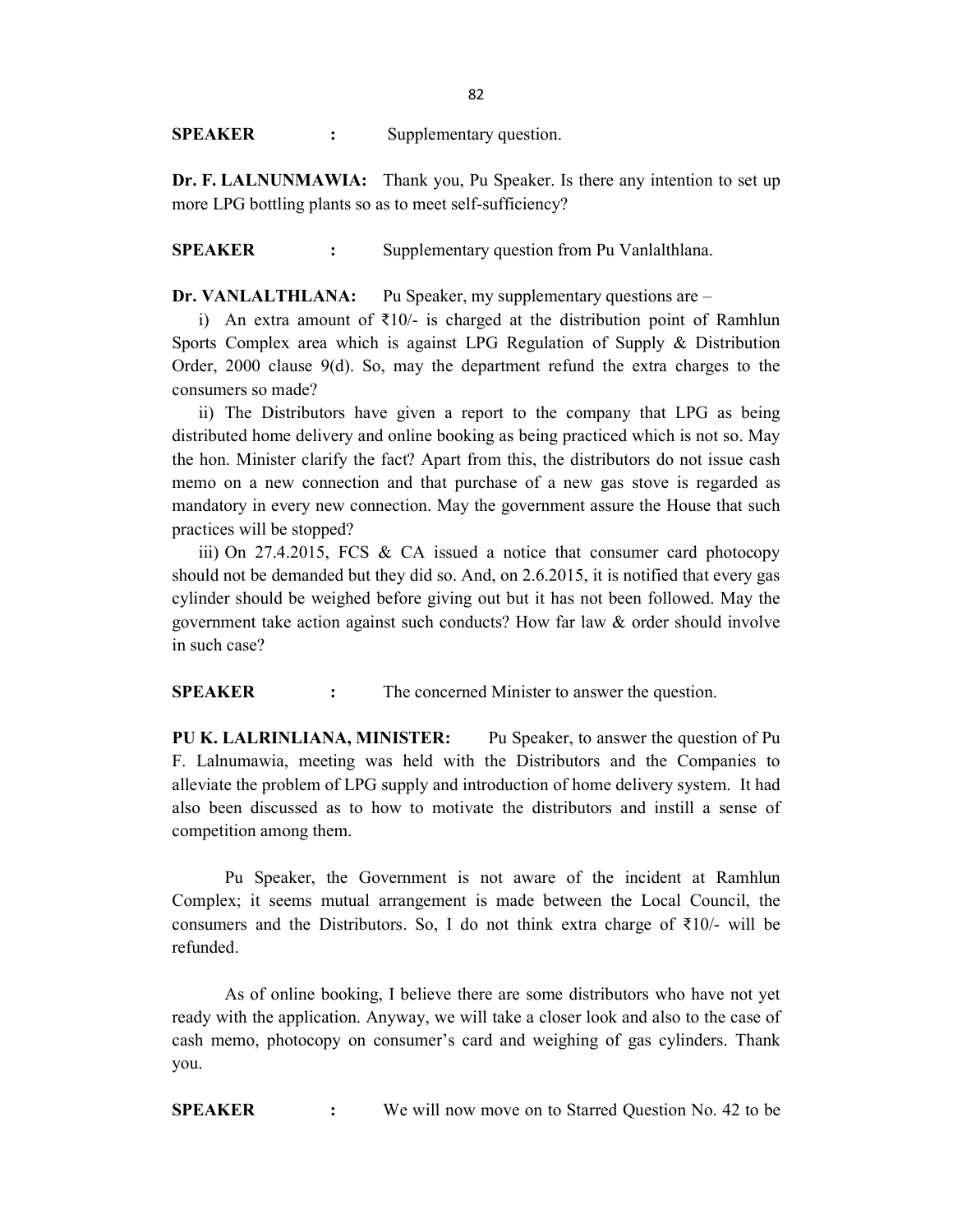SPEAKER : Supplementary question.

Dr. F. LALNUNMAWIA: Thank you, Pu Speaker. Is there any intention to set up more LPG bottling plants so as to meet self-sufficiency?

SPEAKER : Supplementary question from Pu Vanlalthlana.

Dr. VANLALTHLANA: Pu Speaker, my supplementary questions are –

i) An extra amount of  $\overline{z}10/-\overline{z}$  is charged at the distribution point of Ramhlun Sports Complex area which is against LPG Regulation of Supply & Distribution Order, 2000 clause 9(d). So, may the department refund the extra charges to the consumers so made?

ii) The Distributors have given a report to the company that LPG as being distributed home delivery and online booking as being practiced which is not so. May the hon. Minister clarify the fact? Apart from this, the distributors do not issue cash memo on a new connection and that purchase of a new gas stove is regarded as mandatory in every new connection. May the government assure the House that such practices will be stopped?

iii) On 27.4.2015, FCS & CA issued a notice that consumer card photocopy should not be demanded but they did so. And, on 2.6.2015, it is notified that every gas cylinder should be weighed before giving out but it has not been followed. May the government take action against such conducts? How far law & order should involve in such case?

SPEAKER : The concerned Minister to answer the question.

PU K. LALRINLIANA, MINISTER: Pu Speaker, to answer the question of Pu F. Lalnumawia, meeting was held with the Distributors and the Companies to alleviate the problem of LPG supply and introduction of home delivery system. It had also been discussed as to how to motivate the distributors and instill a sense of competition among them.

 Pu Speaker, the Government is not aware of the incident at Ramhlun Complex; it seems mutual arrangement is made between the Local Council, the consumers and the Distributors. So, I do not think extra charge of  $\bar{\tau}$ 10/- will be refunded.

As of online booking, I believe there are some distributors who have not yet ready with the application. Anyway, we will take a closer look and also to the case of cash memo, photocopy on consumer's card and weighing of gas cylinders. Thank you.

SPEAKER : We will now move on to Starred Question No. 42 to be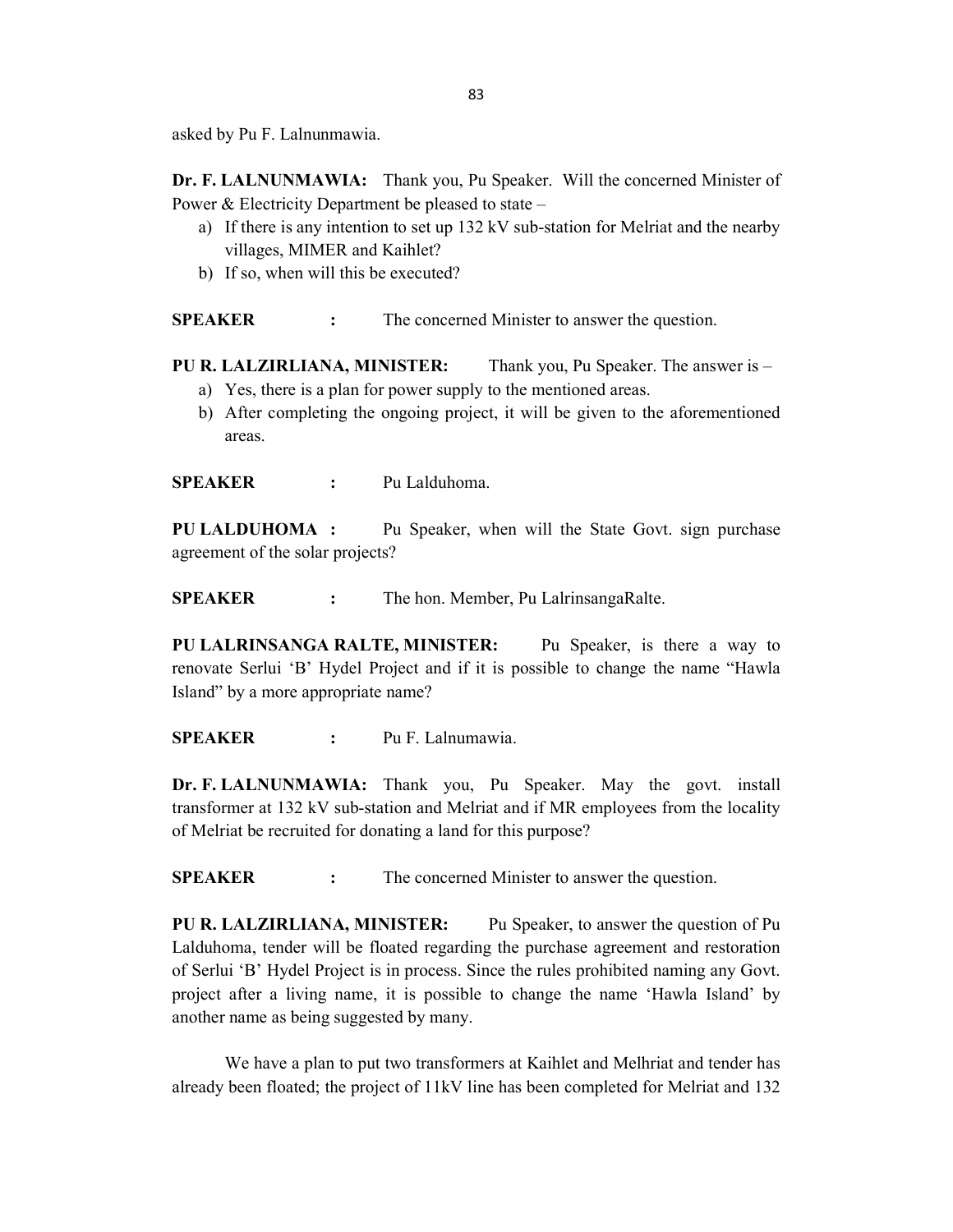asked by Pu F. Lalnunmawia.

Dr. F. LALNUNMAWIA: Thank you, Pu Speaker. Will the concerned Minister of Power & Electricity Department be pleased to state –

- a) If there is any intention to set up 132 kV sub-station for Melriat and the nearby villages, MIMER and Kaihlet?
- b) If so, when will this be executed?

**SPEAKER** : The concerned Minister to answer the question.

PU R. LALZIRLIANA, MINISTER: Thank you, Pu Speaker. The answer is –

- a) Yes, there is a plan for power supply to the mentioned areas.
- b) After completing the ongoing project, it will be given to the aforementioned areas.

SPEAKER : Pu Lalduhoma.

PU LALDUHOMA : Pu Speaker, when will the State Govt. sign purchase agreement of the solar projects?

SPEAKER : The hon. Member, Pu LalrinsangaRalte.

PU LALRINSANGA RALTE, MINISTER: Pu Speaker, is there a way to renovate Serlui 'B' Hydel Project and if it is possible to change the name "Hawla Island" by a more appropriate name?

SPEAKER : Pu F. Lalnumawia.

Dr. F. LALNUNMAWIA: Thank you, Pu Speaker. May the govt. install transformer at 132 kV sub-station and Melriat and if MR employees from the locality of Melriat be recruited for donating a land for this purpose?

SPEAKER : The concerned Minister to answer the question.

PU R. LALZIRLIANA, MINISTER: Pu Speaker, to answer the question of Pu Lalduhoma, tender will be floated regarding the purchase agreement and restoration of Serlui 'B' Hydel Project is in process. Since the rules prohibited naming any Govt. project after a living name, it is possible to change the name 'Hawla Island' by another name as being suggested by many.

We have a plan to put two transformers at Kaihlet and Melhriat and tender has already been floated; the project of 11kV line has been completed for Melriat and 132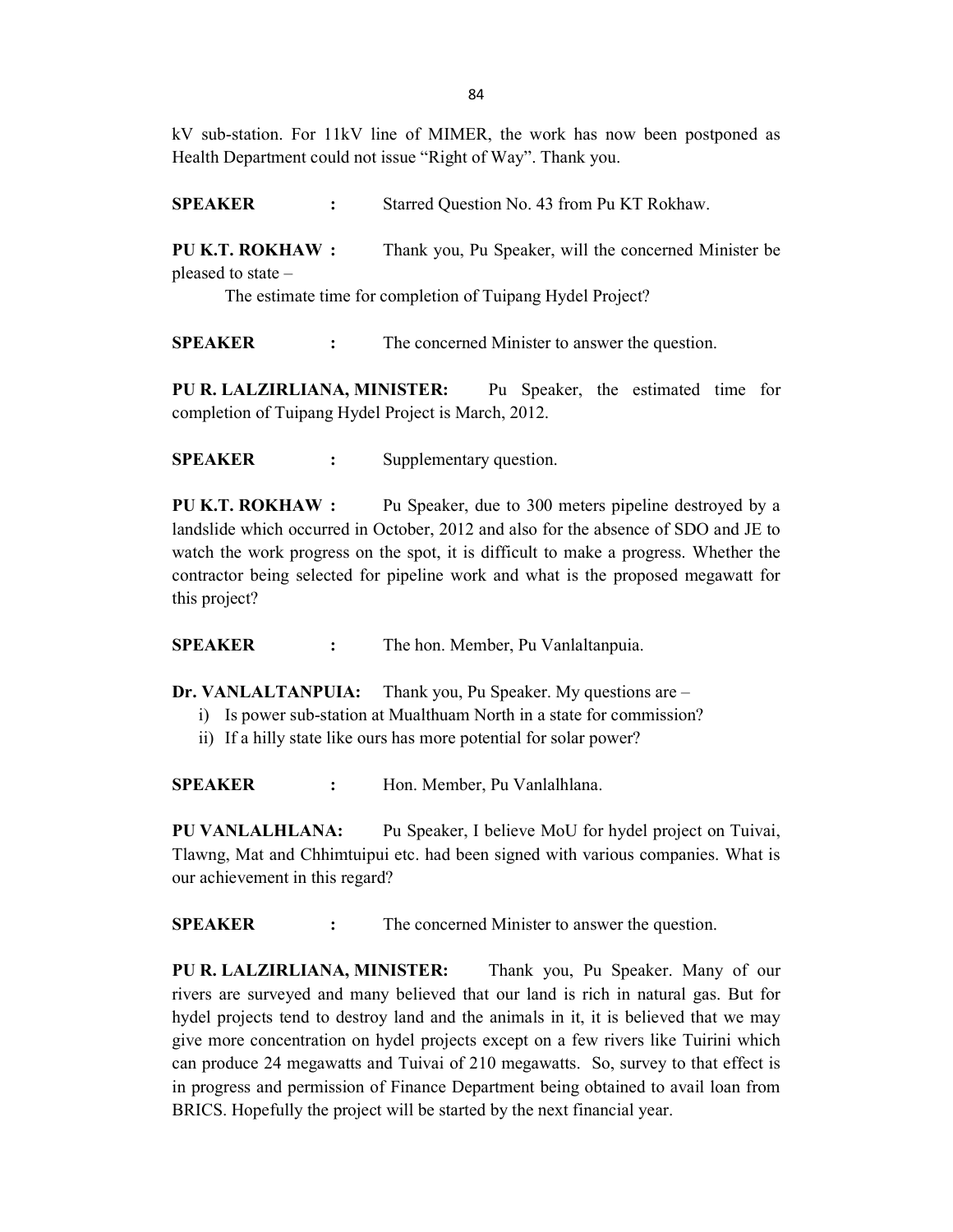kV sub-station. For 11kV line of MIMER, the work has now been postponed as Health Department could not issue "Right of Way". Thank you.

SPEAKER : Starred Question No. 43 from Pu KT Rokhaw.

PU K.T. ROKHAW : Thank you, Pu Speaker, will the concerned Minister be pleased to state –

The estimate time for completion of Tuipang Hydel Project?

SPEAKER : The concerned Minister to answer the question.

PU R. LALZIRLIANA, MINISTER: Pu Speaker, the estimated time for completion of Tuipang Hydel Project is March, 2012.

SPEAKER : Supplementary question.

PU K.T. ROKHAW : Pu Speaker, due to 300 meters pipeline destroyed by a landslide which occurred in October, 2012 and also for the absence of SDO and JE to watch the work progress on the spot, it is difficult to make a progress. Whether the contractor being selected for pipeline work and what is the proposed megawatt for this project?

SPEAKER : The hon. Member, Pu Vanlaltanpuia.

Dr. VANLALTANPUIA: Thank you, Pu Speaker. My questions are –

- i) Is power sub-station at Mualthuam North in a state for commission?
- ii) If a hilly state like ours has more potential for solar power?

SPEAKER : Hon. Member, Pu Vanlalhlana.

PU VANLALHLANA: Pu Speaker, I believe MoU for hydel project on Tuivai, Tlawng, Mat and Chhimtuipui etc. had been signed with various companies. What is our achievement in this regard?

SPEAKER : The concerned Minister to answer the question.

PU R. LALZIRLIANA, MINISTER: Thank you, Pu Speaker. Many of our rivers are surveyed and many believed that our land is rich in natural gas. But for hydel projects tend to destroy land and the animals in it, it is believed that we may give more concentration on hydel projects except on a few rivers like Tuirini which can produce 24 megawatts and Tuivai of 210 megawatts. So, survey to that effect is in progress and permission of Finance Department being obtained to avail loan from BRICS. Hopefully the project will be started by the next financial year.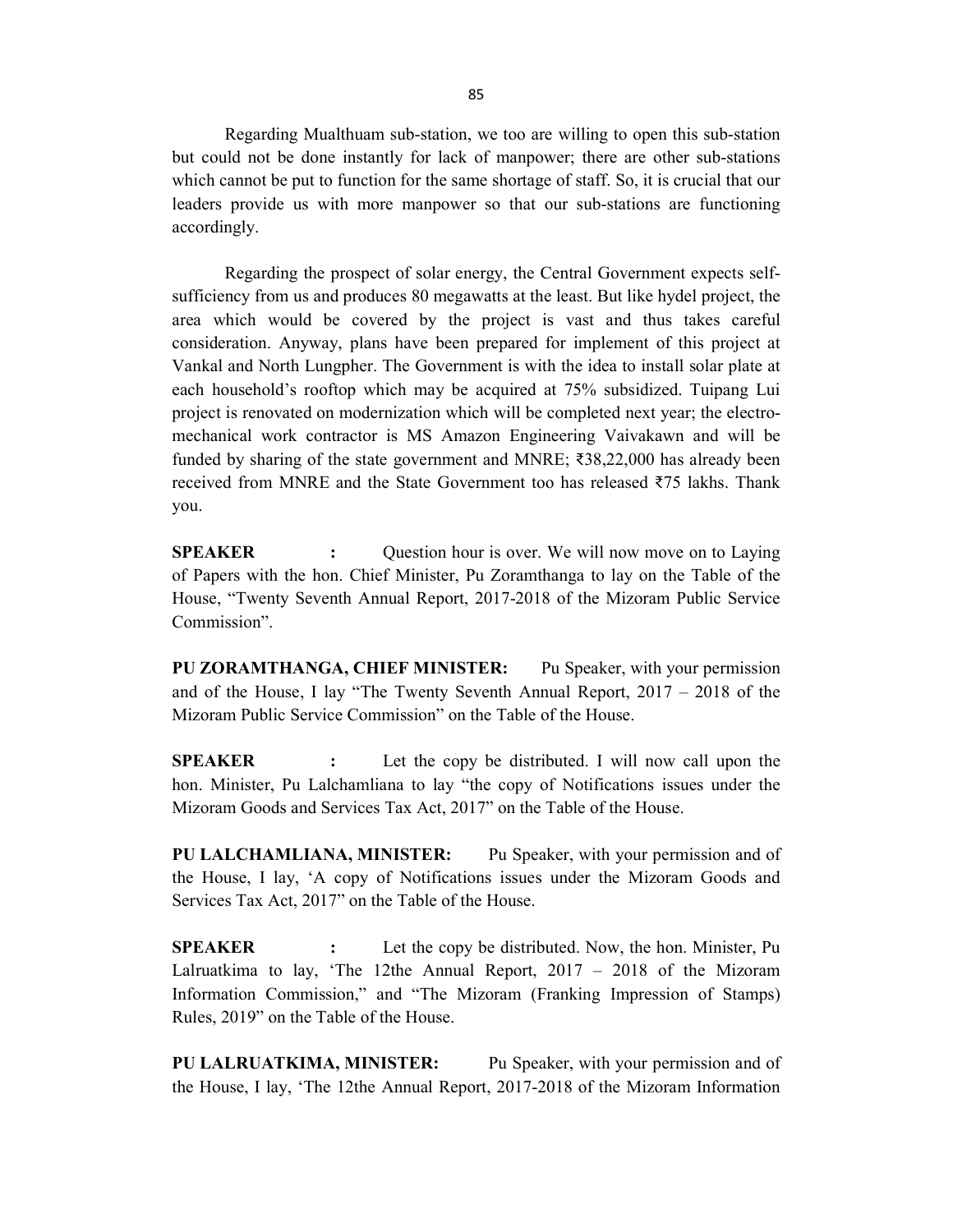Regarding Mualthuam sub-station, we too are willing to open this sub-station but could not be done instantly for lack of manpower; there are other sub-stations which cannot be put to function for the same shortage of staff. So, it is crucial that our leaders provide us with more manpower so that our sub-stations are functioning accordingly.

Regarding the prospect of solar energy, the Central Government expects selfsufficiency from us and produces 80 megawatts at the least. But like hydel project, the area which would be covered by the project is vast and thus takes careful consideration. Anyway, plans have been prepared for implement of this project at Vankal and North Lungpher. The Government is with the idea to install solar plate at each household's rooftop which may be acquired at 75% subsidized. Tuipang Lui project is renovated on modernization which will be completed next year; the electromechanical work contractor is MS Amazon Engineering Vaivakawn and will be funded by sharing of the state government and MNRE; ₹38,22,000 has already been received from MNRE and the State Government too has released ₹75 lakhs. Thank you.

**SPEAKER** : Question hour is over. We will now move on to Laying of Papers with the hon. Chief Minister, Pu Zoramthanga to lay on the Table of the House, "Twenty Seventh Annual Report, 2017-2018 of the Mizoram Public Service Commission".

PU ZORAMTHANGA, CHIEF MINISTER: Pu Speaker, with your permission and of the House, I lay "The Twenty Seventh Annual Report, 2017 – 2018 of the Mizoram Public Service Commission" on the Table of the House.

SPEAKER : Let the copy be distributed. I will now call upon the hon. Minister, Pu Lalchamliana to lay "the copy of Notifications issues under the Mizoram Goods and Services Tax Act, 2017" on the Table of the House.

PU LALCHAMLIANA, MINISTER: Pu Speaker, with your permission and of the House, I lay, 'A copy of Notifications issues under the Mizoram Goods and Services Tax Act, 2017" on the Table of the House.

**SPEAKER** : Let the copy be distributed. Now, the hon. Minister, Pu Lalruatkima to lay, 'The 12the Annual Report, 2017 – 2018 of the Mizoram Information Commission," and "The Mizoram (Franking Impression of Stamps) Rules, 2019" on the Table of the House.

PU LALRUATKIMA, MINISTER: Pu Speaker, with your permission and of the House, I lay, 'The 12the Annual Report, 2017-2018 of the Mizoram Information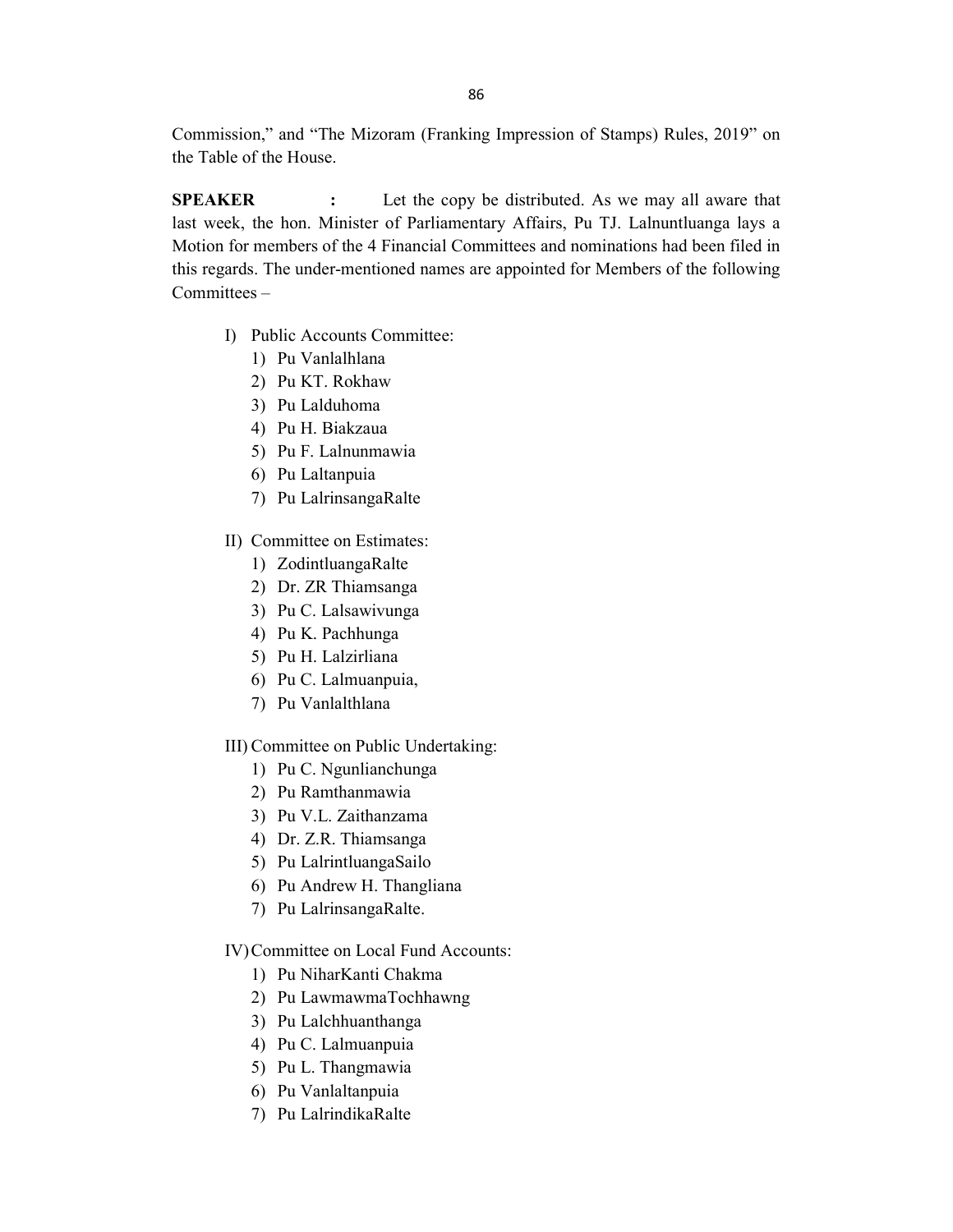Commission," and "The Mizoram (Franking Impression of Stamps) Rules, 2019" on the Table of the House.

SPEAKER : Let the copy be distributed. As we may all aware that last week, the hon. Minister of Parliamentary Affairs, Pu TJ. Lalnuntluanga lays a Motion for members of the 4 Financial Committees and nominations had been filed in this regards. The under-mentioned names are appointed for Members of the following Committees –

- I) Public Accounts Committee:
	- 1) Pu Vanlalhlana
	- 2) Pu KT. Rokhaw
	- 3) Pu Lalduhoma
	- 4) Pu H. Biakzaua
	- 5) Pu F. Lalnunmawia
	- 6) Pu Laltanpuia
	- 7) Pu LalrinsangaRalte
- II) Committee on Estimates:
	- 1) ZodintluangaRalte
	- 2) Dr. ZR Thiamsanga
	- 3) Pu C. Lalsawivunga
	- 4) Pu K. Pachhunga
	- 5) Pu H. Lalzirliana
	- 6) Pu C. Lalmuanpuia,
	- 7) Pu Vanlalthlana

### III) Committee on Public Undertaking:

- 1) Pu C. Ngunlianchunga
- 2) Pu Ramthanmawia
- 3) Pu V.L. Zaithanzama
- 4) Dr. Z.R. Thiamsanga
- 5) Pu LalrintluangaSailo
- 6) Pu Andrew H. Thangliana
- 7) Pu LalrinsangaRalte.

### IV) Committee on Local Fund Accounts:

- 1) Pu NiharKanti Chakma
- 2) Pu LawmawmaTochhawng
- 3) Pu Lalchhuanthanga
- 4) Pu C. Lalmuanpuia
- 5) Pu L. Thangmawia
- 6) Pu Vanlaltanpuia
- 7) Pu LalrindikaRalte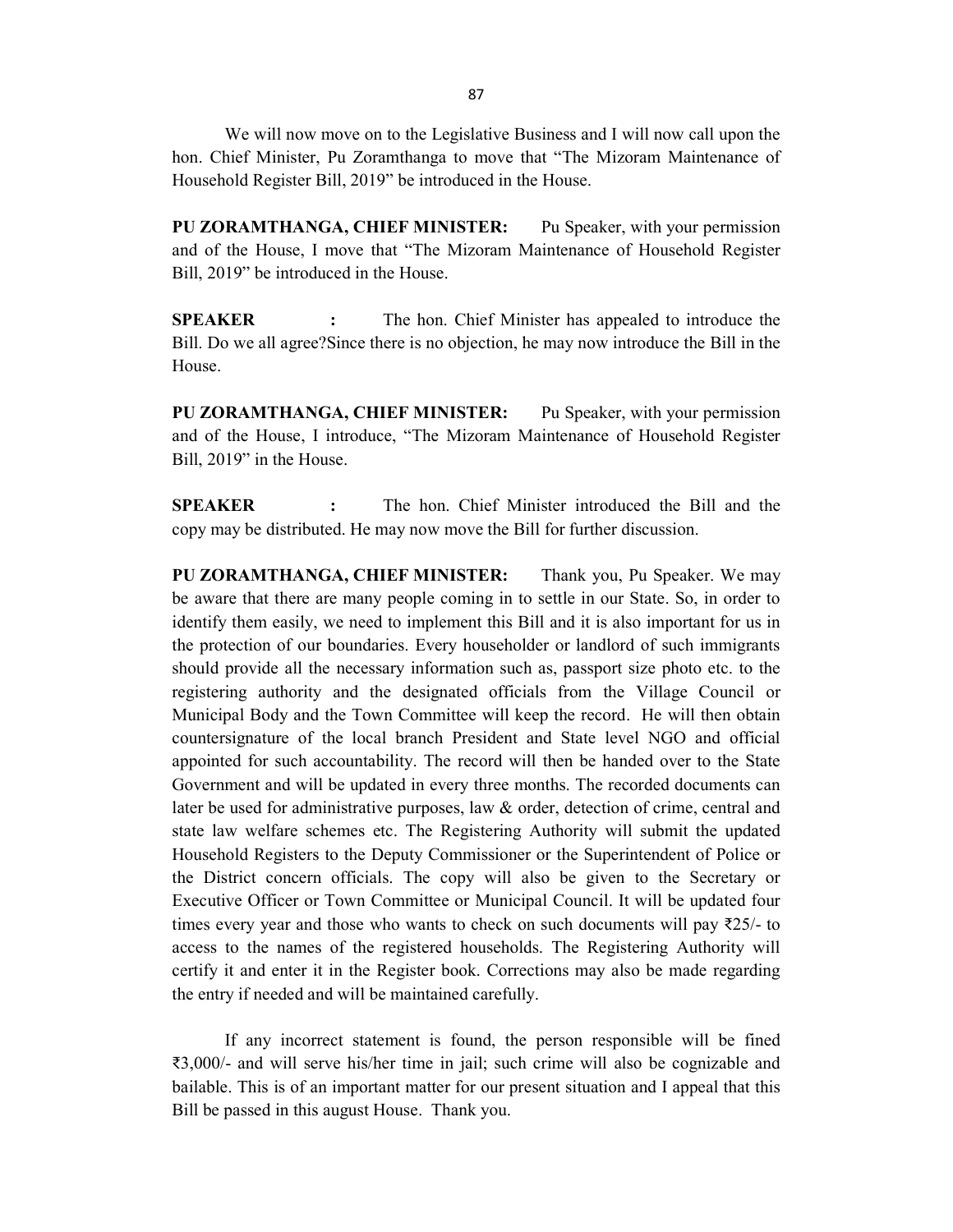We will now move on to the Legislative Business and I will now call upon the hon. Chief Minister, Pu Zoramthanga to move that "The Mizoram Maintenance of Household Register Bill, 2019" be introduced in the House.

PU ZORAMTHANGA, CHIEF MINISTER: Pu Speaker, with your permission and of the House, I move that "The Mizoram Maintenance of Household Register Bill, 2019" be introduced in the House.

**SPEAKER** : The hon. Chief Minister has appealed to introduce the Bill. Do we all agree?Since there is no objection, he may now introduce the Bill in the House.

PU ZORAMTHANGA, CHIEF MINISTER: Pu Speaker, with your permission and of the House, I introduce, "The Mizoram Maintenance of Household Register Bill, 2019" in the House.

SPEAKER : The hon. Chief Minister introduced the Bill and the copy may be distributed. He may now move the Bill for further discussion.

PU ZORAMTHANGA, CHIEF MINISTER: Thank you, Pu Speaker. We may be aware that there are many people coming in to settle in our State. So, in order to identify them easily, we need to implement this Bill and it is also important for us in the protection of our boundaries. Every householder or landlord of such immigrants should provide all the necessary information such as, passport size photo etc. to the registering authority and the designated officials from the Village Council or Municipal Body and the Town Committee will keep the record. He will then obtain countersignature of the local branch President and State level NGO and official appointed for such accountability. The record will then be handed over to the State Government and will be updated in every three months. The recorded documents can later be used for administrative purposes, law & order, detection of crime, central and state law welfare schemes etc. The Registering Authority will submit the updated Household Registers to the Deputy Commissioner or the Superintendent of Police or the District concern officials. The copy will also be given to the Secretary or Executive Officer or Town Committee or Municipal Council. It will be updated four times every year and those who wants to check on such documents will pay  $\bar{\zeta}25/1$  to access to the names of the registered households. The Registering Authority will certify it and enter it in the Register book. Corrections may also be made regarding the entry if needed and will be maintained carefully.

 If any incorrect statement is found, the person responsible will be fined ₹3,000/- and will serve his/her time in jail; such crime will also be cognizable and bailable. This is of an important matter for our present situation and I appeal that this Bill be passed in this august House. Thank you.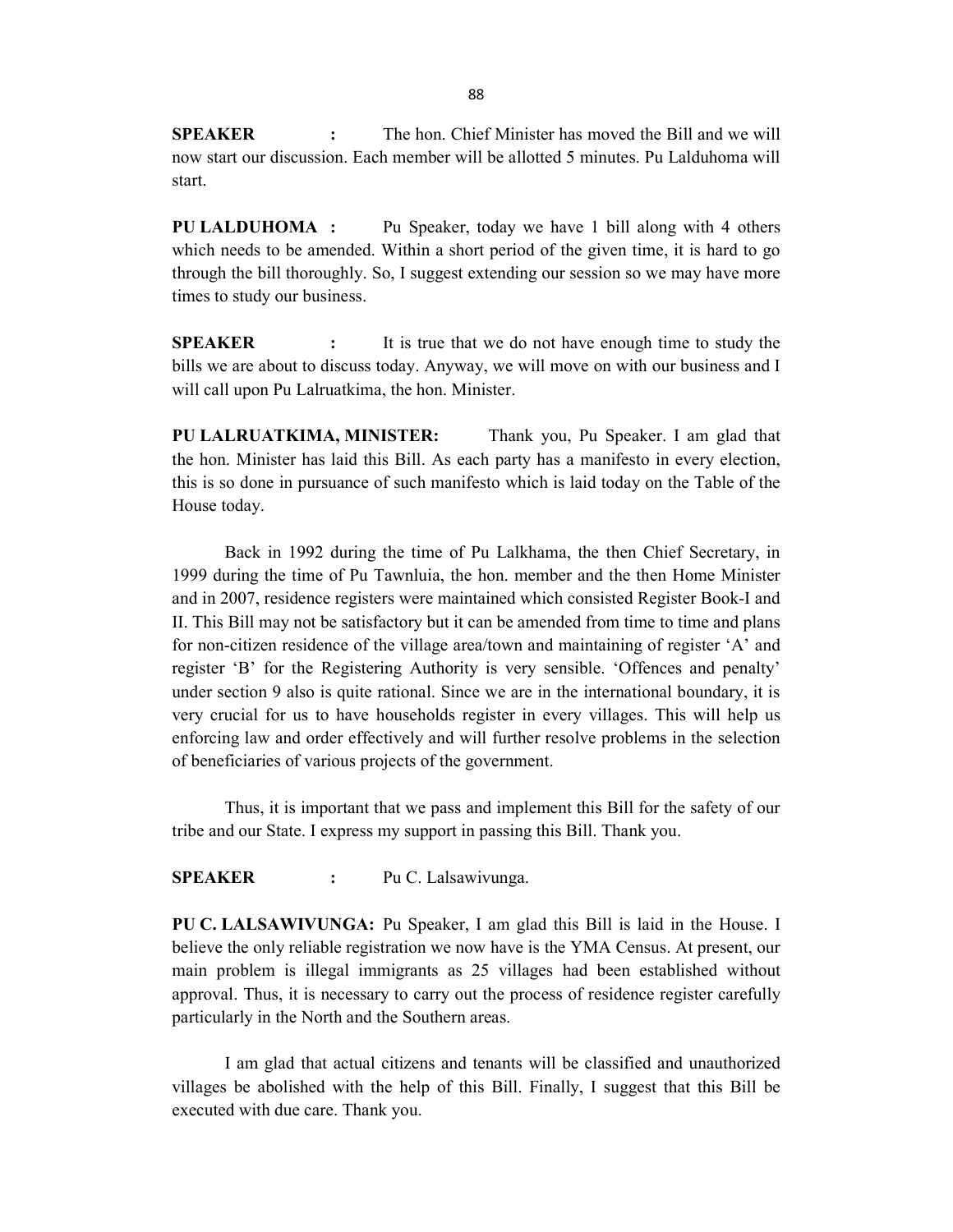**SPEAKER** : The hon. Chief Minister has moved the Bill and we will now start our discussion. Each member will be allotted 5 minutes. Pu Lalduhoma will start.

PU LALDUHOMA : Pu Speaker, today we have 1 bill along with 4 others which needs to be amended. Within a short period of the given time, it is hard to go through the bill thoroughly. So, I suggest extending our session so we may have more times to study our business.

**SPEAKER** : It is true that we do not have enough time to study the bills we are about to discuss today. Anyway, we will move on with our business and I will call upon Pu Lalruatkima, the hon. Minister.

PU LALRUATKIMA, MINISTER: Thank you, Pu Speaker. I am glad that the hon. Minister has laid this Bill. As each party has a manifesto in every election, this is so done in pursuance of such manifesto which is laid today on the Table of the House today.

 Back in 1992 during the time of Pu Lalkhama, the then Chief Secretary, in 1999 during the time of Pu Tawnluia, the hon. member and the then Home Minister and in 2007, residence registers were maintained which consisted Register Book-I and II. This Bill may not be satisfactory but it can be amended from time to time and plans for non-citizen residence of the village area/town and maintaining of register 'A' and register 'B' for the Registering Authority is very sensible. 'Offences and penalty' under section 9 also is quite rational. Since we are in the international boundary, it is very crucial for us to have households register in every villages. This will help us enforcing law and order effectively and will further resolve problems in the selection of beneficiaries of various projects of the government.

 Thus, it is important that we pass and implement this Bill for the safety of our tribe and our State. I express my support in passing this Bill. Thank you.

SPEAKER : Pu C. Lalsawivunga.

PU C. LALSAWIVUNGA: Pu Speaker, I am glad this Bill is laid in the House. I believe the only reliable registration we now have is the YMA Census. At present, our main problem is illegal immigrants as 25 villages had been established without approval. Thus, it is necessary to carry out the process of residence register carefully particularly in the North and the Southern areas.

 I am glad that actual citizens and tenants will be classified and unauthorized villages be abolished with the help of this Bill. Finally, I suggest that this Bill be executed with due care. Thank you.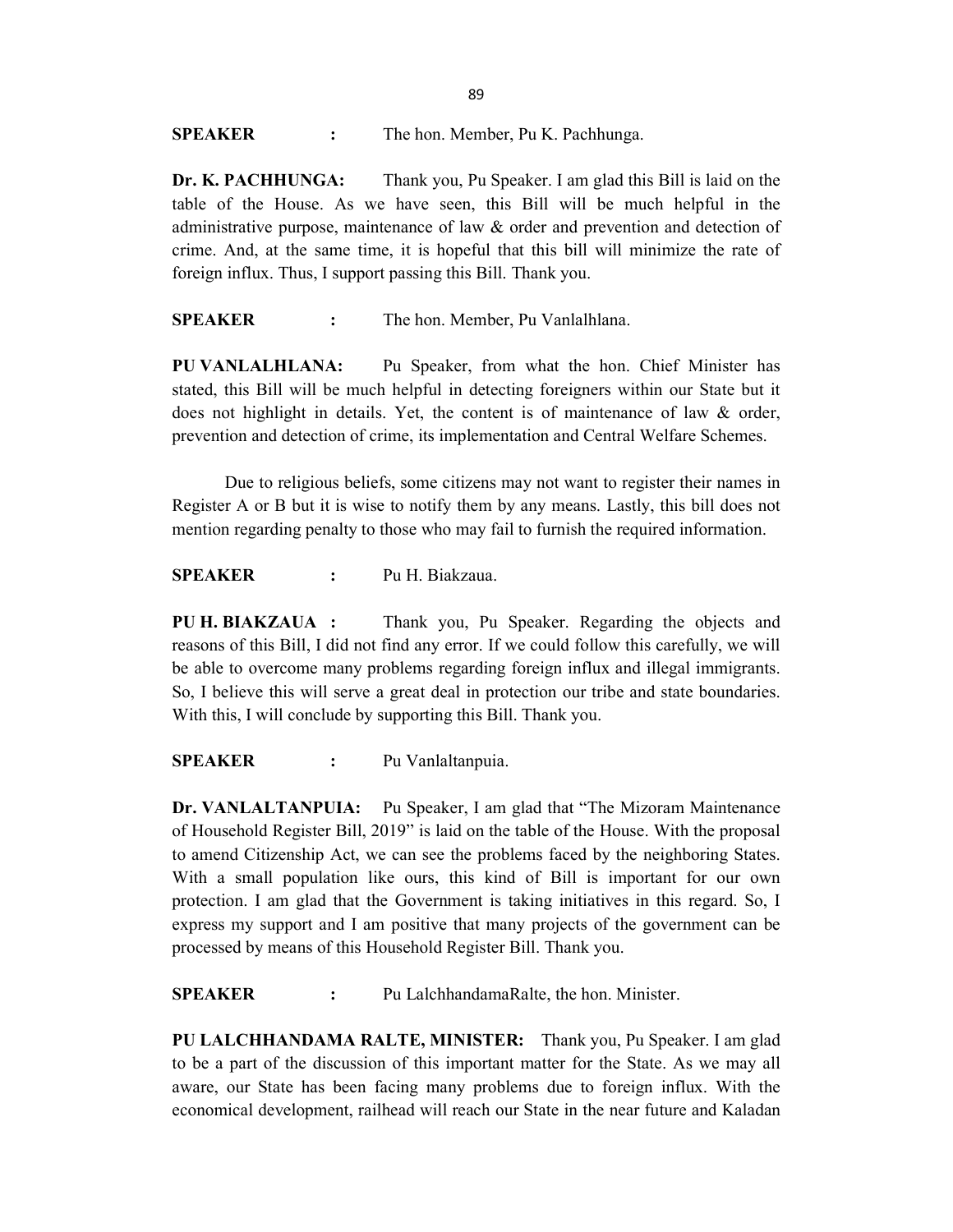SPEAKER : The hon. Member, Pu K. Pachhunga.

Dr. K. PACHHUNGA: Thank you, Pu Speaker. I am glad this Bill is laid on the table of the House. As we have seen, this Bill will be much helpful in the administrative purpose, maintenance of law & order and prevention and detection of crime. And, at the same time, it is hopeful that this bill will minimize the rate of foreign influx. Thus, I support passing this Bill. Thank you.

SPEAKER : The hon. Member, Pu Vanlalhlana.

PU VANLALHLANA: Pu Speaker, from what the hon. Chief Minister has stated, this Bill will be much helpful in detecting foreigners within our State but it does not highlight in details. Yet, the content is of maintenance of law & order, prevention and detection of crime, its implementation and Central Welfare Schemes.

 Due to religious beliefs, some citizens may not want to register their names in Register A or B but it is wise to notify them by any means. Lastly, this bill does not mention regarding penalty to those who may fail to furnish the required information.

SPEAKER : Pu H. Biakzaua.

PU H. BIAKZAUA : Thank you, Pu Speaker. Regarding the objects and reasons of this Bill, I did not find any error. If we could follow this carefully, we will be able to overcome many problems regarding foreign influx and illegal immigrants. So, I believe this will serve a great deal in protection our tribe and state boundaries. With this, I will conclude by supporting this Bill. Thank you.

SPEAKER : Pu Vanlaltanpuia.

Dr. VANLALTANPUIA: Pu Speaker, I am glad that "The Mizoram Maintenance of Household Register Bill, 2019" is laid on the table of the House. With the proposal to amend Citizenship Act, we can see the problems faced by the neighboring States. With a small population like ours, this kind of Bill is important for our own protection. I am glad that the Government is taking initiatives in this regard. So, I express my support and I am positive that many projects of the government can be processed by means of this Household Register Bill. Thank you.

SPEAKER : Pu LalchhandamaRalte, the hon. Minister.

PU LALCHHANDAMA RALTE, MINISTER: Thank you, Pu Speaker. I am glad to be a part of the discussion of this important matter for the State. As we may all aware, our State has been facing many problems due to foreign influx. With the economical development, railhead will reach our State in the near future and Kaladan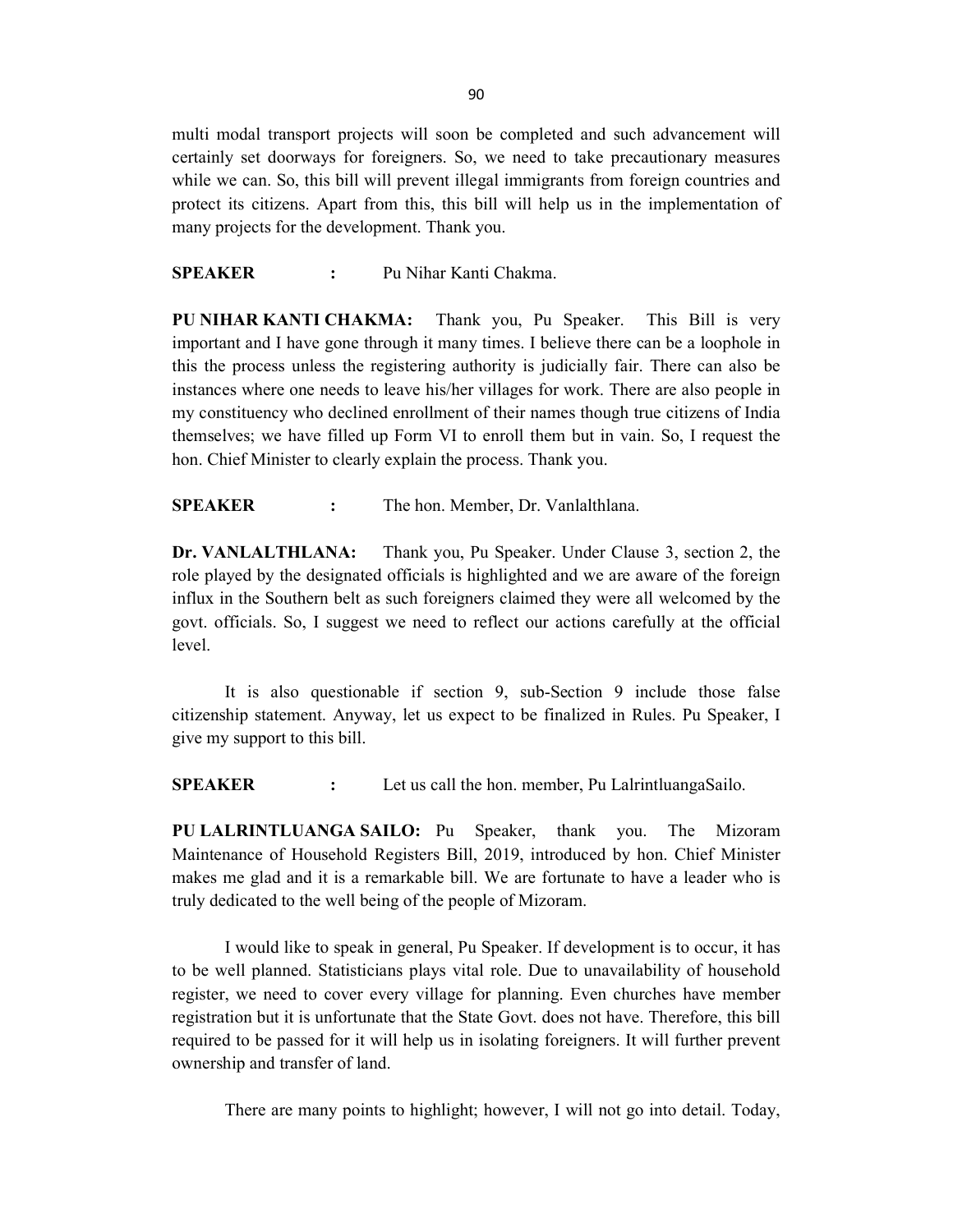multi modal transport projects will soon be completed and such advancement will certainly set doorways for foreigners. So, we need to take precautionary measures while we can. So, this bill will prevent illegal immigrants from foreign countries and protect its citizens. Apart from this, this bill will help us in the implementation of many projects for the development. Thank you.

SPEAKER : Pu Nihar Kanti Chakma.

PU NIHAR KANTI CHAKMA: Thank you, Pu Speaker. This Bill is very important and I have gone through it many times. I believe there can be a loophole in this the process unless the registering authority is judicially fair. There can also be instances where one needs to leave his/her villages for work. There are also people in my constituency who declined enrollment of their names though true citizens of India themselves; we have filled up Form VI to enroll them but in vain. So, I request the hon. Chief Minister to clearly explain the process. Thank you.

SPEAKER : The hon. Member, Dr. Vanlalthlana.

Dr. VANLALTHLANA: Thank you, Pu Speaker. Under Clause 3, section 2, the role played by the designated officials is highlighted and we are aware of the foreign influx in the Southern belt as such foreigners claimed they were all welcomed by the govt. officials. So, I suggest we need to reflect our actions carefully at the official level.

 It is also questionable if section 9, sub-Section 9 include those false citizenship statement. Anyway, let us expect to be finalized in Rules. Pu Speaker, I give my support to this bill.

SPEAKER : Let us call the hon. member, Pu LalrintluangaSailo.

PU LALRINTLUANGA SAILO: Pu Speaker, thank you. The Mizoram Maintenance of Household Registers Bill, 2019, introduced by hon. Chief Minister makes me glad and it is a remarkable bill. We are fortunate to have a leader who is truly dedicated to the well being of the people of Mizoram.

I would like to speak in general, Pu Speaker. If development is to occur, it has to be well planned. Statisticians plays vital role. Due to unavailability of household register, we need to cover every village for planning. Even churches have member registration but it is unfortunate that the State Govt. does not have. Therefore, this bill required to be passed for it will help us in isolating foreigners. It will further prevent ownership and transfer of land.

There are many points to highlight; however, I will not go into detail. Today,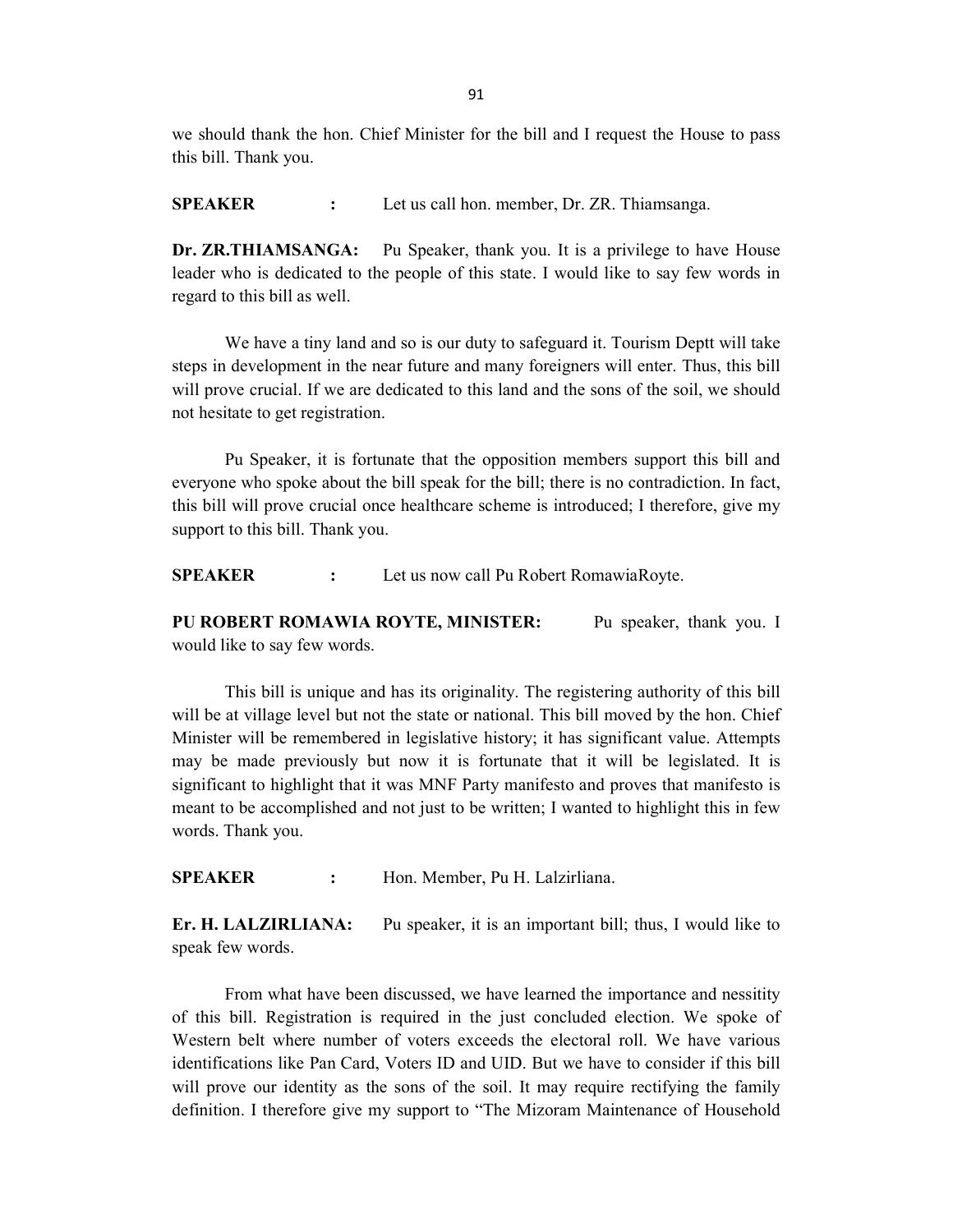we should thank the hon. Chief Minister for the bill and I request the House to pass this bill. Thank you.

SPEAKER : Let us call hon. member, Dr. ZR. Thiamsanga.

Dr. ZR.THIAMSANGA: Pu Speaker, thank you. It is a privilege to have House leader who is dedicated to the people of this state. I would like to say few words in regard to this bill as well.

 We have a tiny land and so is our duty to safeguard it. Tourism Deptt will take steps in development in the near future and many foreigners will enter. Thus, this bill will prove crucial. If we are dedicated to this land and the sons of the soil, we should not hesitate to get registration.

Pu Speaker, it is fortunate that the opposition members support this bill and everyone who spoke about the bill speak for the bill; there is no contradiction. In fact, this bill will prove crucial once healthcare scheme is introduced; I therefore, give my support to this bill. Thank you.

SPEAKER : Let us now call Pu Robert RomawiaRoyte.

PU ROBERT ROMAWIA ROYTE, MINISTER: Pu speaker, thank you. I would like to say few words.

This bill is unique and has its originality. The registering authority of this bill will be at village level but not the state or national. This bill moved by the hon. Chief Minister will be remembered in legislative history; it has significant value. Attempts may be made previously but now it is fortunate that it will be legislated. It is significant to highlight that it was MNF Party manifesto and proves that manifesto is meant to be accomplished and not just to be written; I wanted to highlight this in few words. Thank you.

SPEAKER : Hon. Member, Pu H. Lalzirliana.

Er. H. LALZIRLIANA: Pu speaker, it is an important bill; thus, I would like to speak few words.

 From what have been discussed, we have learned the importance and nessitity of this bill. Registration is required in the just concluded election. We spoke of Western belt where number of voters exceeds the electoral roll. We have various identifications like Pan Card, Voters ID and UID. But we have to consider if this bill will prove our identity as the sons of the soil. It may require rectifying the family definition. I therefore give my support to "The Mizoram Maintenance of Household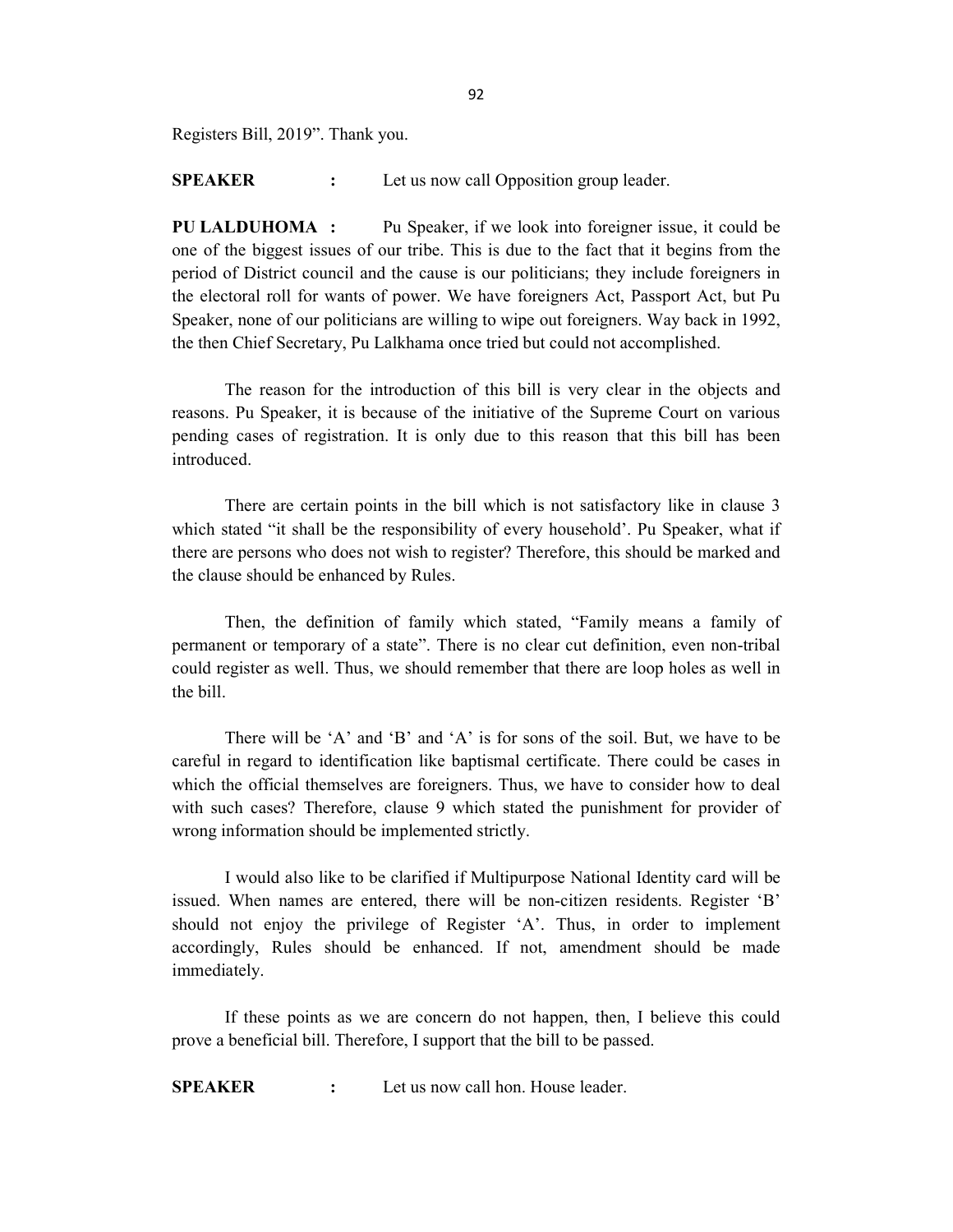Registers Bill, 2019". Thank you.

SPEAKER : Let us now call Opposition group leader.

PU LALDUHOMA : Pu Speaker, if we look into foreigner issue, it could be one of the biggest issues of our tribe. This is due to the fact that it begins from the period of District council and the cause is our politicians; they include foreigners in the electoral roll for wants of power. We have foreigners Act, Passport Act, but Pu Speaker, none of our politicians are willing to wipe out foreigners. Way back in 1992, the then Chief Secretary, Pu Lalkhama once tried but could not accomplished.

The reason for the introduction of this bill is very clear in the objects and reasons. Pu Speaker, it is because of the initiative of the Supreme Court on various pending cases of registration. It is only due to this reason that this bill has been introduced.

There are certain points in the bill which is not satisfactory like in clause 3 which stated "it shall be the responsibility of every household'. Pu Speaker, what if there are persons who does not wish to register? Therefore, this should be marked and the clause should be enhanced by Rules.

Then, the definition of family which stated, "Family means a family of permanent or temporary of a state". There is no clear cut definition, even non-tribal could register as well. Thus, we should remember that there are loop holes as well in the bill.

There will be 'A' and 'B' and 'A' is for sons of the soil. But, we have to be careful in regard to identification like baptismal certificate. There could be cases in which the official themselves are foreigners. Thus, we have to consider how to deal with such cases? Therefore, clause 9 which stated the punishment for provider of wrong information should be implemented strictly.

I would also like to be clarified if Multipurpose National Identity card will be issued. When names are entered, there will be non-citizen residents. Register 'B' should not enjoy the privilege of Register 'A'. Thus, in order to implement accordingly, Rules should be enhanced. If not, amendment should be made immediately.

If these points as we are concern do not happen, then, I believe this could prove a beneficial bill. Therefore, I support that the bill to be passed.

SPEAKER : Let us now call hon. House leader.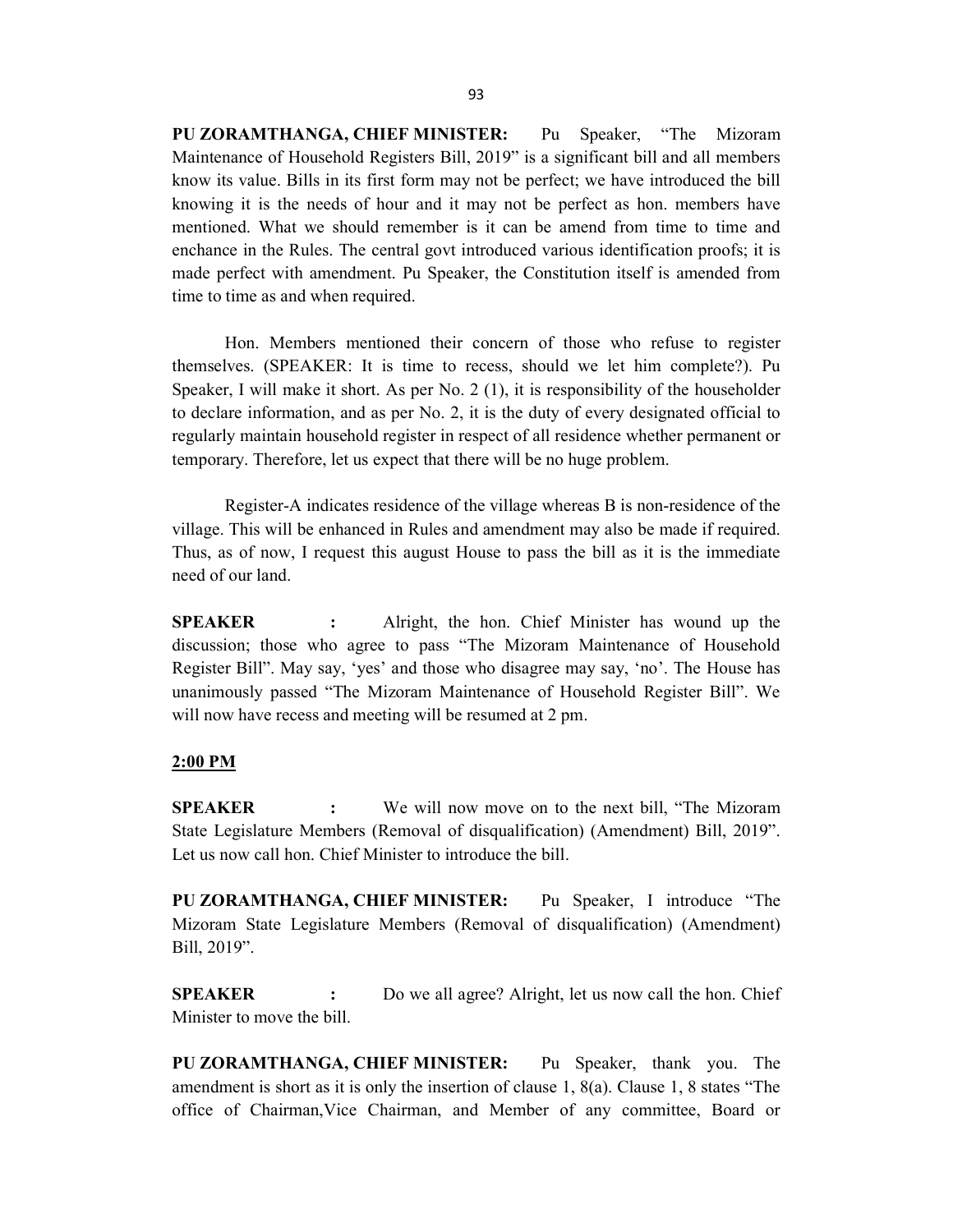PU ZORAMTHANGA, CHIEF MINISTER: Pu Speaker, "The Mizoram Maintenance of Household Registers Bill, 2019" is a significant bill and all members know its value. Bills in its first form may not be perfect; we have introduced the bill knowing it is the needs of hour and it may not be perfect as hon. members have mentioned. What we should remember is it can be amend from time to time and enchance in the Rules. The central govt introduced various identification proofs; it is made perfect with amendment. Pu Speaker, the Constitution itself is amended from time to time as and when required.

Hon. Members mentioned their concern of those who refuse to register themselves. (SPEAKER: It is time to recess, should we let him complete?). Pu Speaker, I will make it short. As per No. 2 (1), it is responsibility of the householder to declare information, and as per No. 2, it is the duty of every designated official to regularly maintain household register in respect of all residence whether permanent or temporary. Therefore, let us expect that there will be no huge problem.

Register-A indicates residence of the village whereas B is non-residence of the village. This will be enhanced in Rules and amendment may also be made if required. Thus, as of now, I request this august House to pass the bill as it is the immediate need of our land.

SPEAKER : Alright, the hon. Chief Minister has wound up the discussion; those who agree to pass "The Mizoram Maintenance of Household Register Bill". May say, 'yes' and those who disagree may say, 'no'. The House has unanimously passed "The Mizoram Maintenance of Household Register Bill". We will now have recess and meeting will be resumed at 2 pm.

#### 2:00 PM

SPEAKER : We will now move on to the next bill, "The Mizoram State Legislature Members (Removal of disqualification) (Amendment) Bill, 2019". Let us now call hon. Chief Minister to introduce the bill.

PU ZORAMTHANGA, CHIEF MINISTER: Pu Speaker, I introduce "The Mizoram State Legislature Members (Removal of disqualification) (Amendment) Bill, 2019".

**SPEAKER** : Do we all agree? Alright, let us now call the hon. Chief Minister to move the bill.

PU ZORAMTHANGA, CHIEF MINISTER: Pu Speaker, thank you. The amendment is short as it is only the insertion of clause 1, 8(a). Clause 1, 8 states "The office of Chairman,Vice Chairman, and Member of any committee, Board or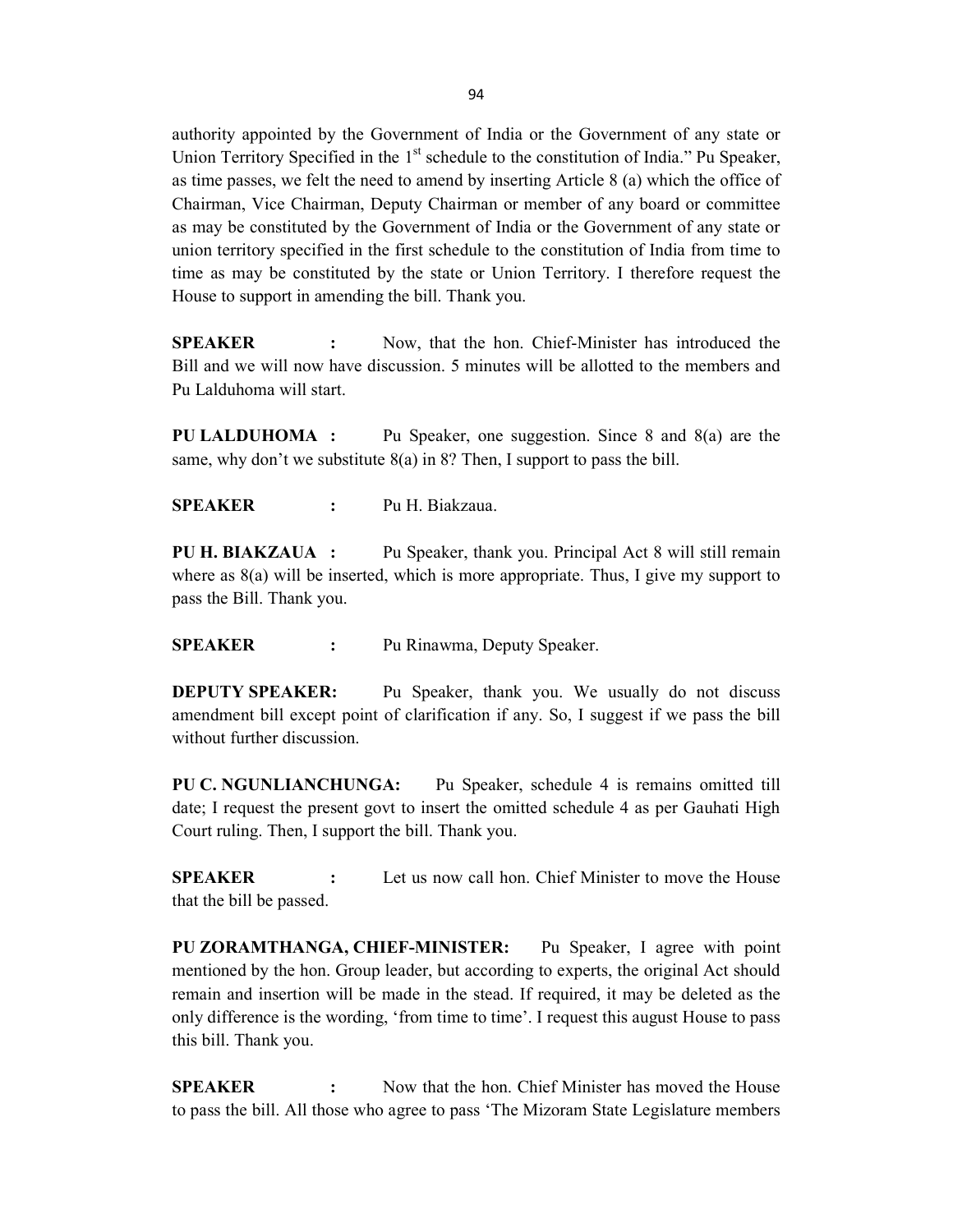authority appointed by the Government of India or the Government of any state or Union Territory Specified in the  $1<sup>st</sup>$  schedule to the constitution of India." Pu Speaker, as time passes, we felt the need to amend by inserting Article 8 (a) which the office of Chairman, Vice Chairman, Deputy Chairman or member of any board or committee as may be constituted by the Government of India or the Government of any state or union territory specified in the first schedule to the constitution of India from time to time as may be constituted by the state or Union Territory. I therefore request the House to support in amending the bill. Thank you.

SPEAKER : Now, that the hon. Chief-Minister has introduced the Bill and we will now have discussion. 5 minutes will be allotted to the members and Pu Lalduhoma will start.

PU LALDUHOMA : Pu Speaker, one suggestion. Since 8 and 8(a) are the same, why don't we substitute  $8(a)$  in 8? Then, I support to pass the bill.

SPEAKER : Pu H. Biakzaua.

PU H. BIAKZAUA : Pu Speaker, thank you. Principal Act 8 will still remain where as 8(a) will be inserted, which is more appropriate. Thus, I give my support to pass the Bill. Thank you.

SPEAKER : Pu Rinawma, Deputy Speaker.

DEPUTY SPEAKER: Pu Speaker, thank you. We usually do not discuss amendment bill except point of clarification if any. So, I suggest if we pass the bill without further discussion.

PU C. NGUNLIANCHUNGA: Pu Speaker, schedule 4 is remains omitted till date; I request the present govt to insert the omitted schedule 4 as per Gauhati High Court ruling. Then, I support the bill. Thank you.

**SPEAKER** : Let us now call hon. Chief Minister to move the House that the bill be passed.

PU ZORAMTHANGA, CHIEF-MINISTER: Pu Speaker, I agree with point mentioned by the hon. Group leader, but according to experts, the original Act should remain and insertion will be made in the stead. If required, it may be deleted as the only difference is the wording, 'from time to time'. I request this august House to pass this bill. Thank you.

SPEAKER : Now that the hon. Chief Minister has moved the House to pass the bill. All those who agree to pass 'The Mizoram State Legislature members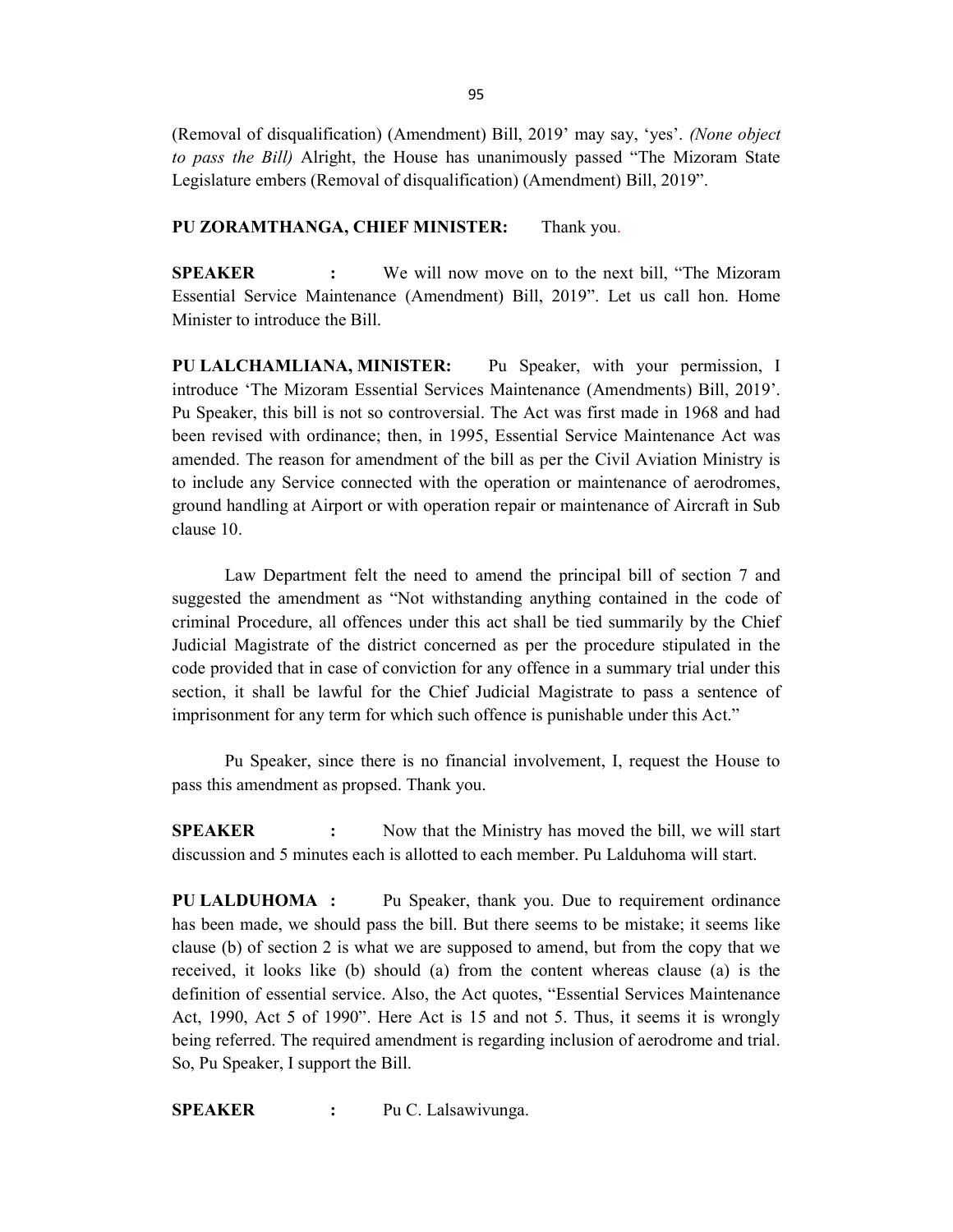(Removal of disqualification) (Amendment) Bill, 2019' may say, 'yes'. (None object to pass the Bill) Alright, the House has unanimously passed "The Mizoram State" Legislature embers (Removal of disqualification) (Amendment) Bill, 2019".

#### PU ZORAMTHANGA, CHIEF MINISTER: Thank you.

SPEAKER : We will now move on to the next bill, "The Mizoram Essential Service Maintenance (Amendment) Bill, 2019". Let us call hon. Home Minister to introduce the Bill.

PU LALCHAMLIANA, MINISTER: Pu Speaker, with your permission, I introduce 'The Mizoram Essential Services Maintenance (Amendments) Bill, 2019'. Pu Speaker, this bill is not so controversial. The Act was first made in 1968 and had been revised with ordinance; then, in 1995, Essential Service Maintenance Act was amended. The reason for amendment of the bill as per the Civil Aviation Ministry is to include any Service connected with the operation or maintenance of aerodromes, ground handling at Airport or with operation repair or maintenance of Aircraft in Sub clause 10.

Law Department felt the need to amend the principal bill of section 7 and suggested the amendment as "Not withstanding anything contained in the code of criminal Procedure, all offences under this act shall be tied summarily by the Chief Judicial Magistrate of the district concerned as per the procedure stipulated in the code provided that in case of conviction for any offence in a summary trial under this section, it shall be lawful for the Chief Judicial Magistrate to pass a sentence of imprisonment for any term for which such offence is punishable under this Act."

Pu Speaker, since there is no financial involvement, I, request the House to pass this amendment as propsed. Thank you.

SPEAKER : Now that the Ministry has moved the bill, we will start discussion and 5 minutes each is allotted to each member. Pu Lalduhoma will start.

PU LALDUHOMA : Pu Speaker, thank you. Due to requirement ordinance has been made, we should pass the bill. But there seems to be mistake; it seems like clause (b) of section 2 is what we are supposed to amend, but from the copy that we received, it looks like (b) should (a) from the content whereas clause (a) is the definition of essential service. Also, the Act quotes, "Essential Services Maintenance Act, 1990, Act 5 of 1990". Here Act is 15 and not 5. Thus, it seems it is wrongly being referred. The required amendment is regarding inclusion of aerodrome and trial. So, Pu Speaker, I support the Bill.

SPEAKER : Pu C. Lalsawivunga.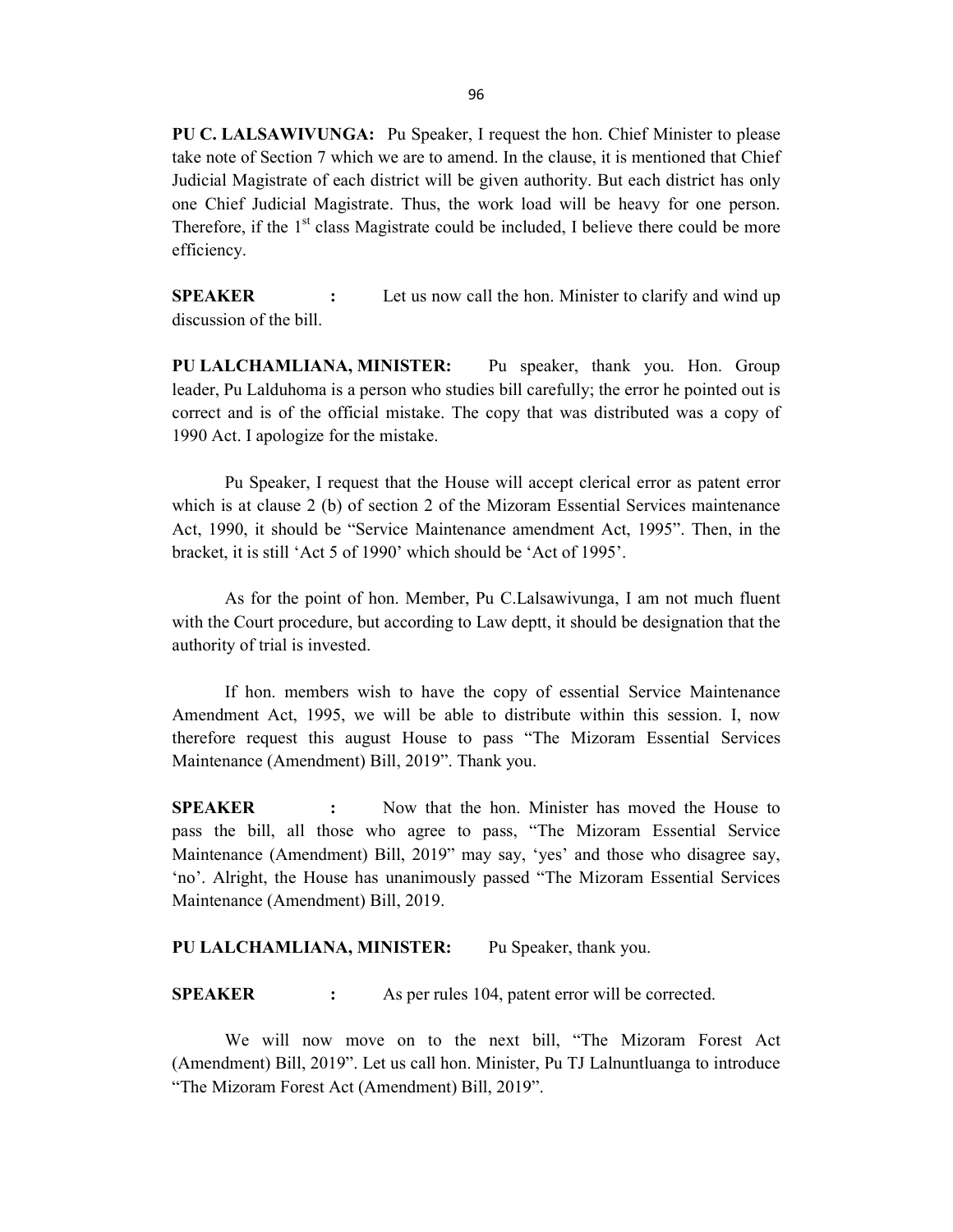PU C. LALSAWIVUNGA: Pu Speaker, I request the hon. Chief Minister to please take note of Section 7 which we are to amend. In the clause, it is mentioned that Chief Judicial Magistrate of each district will be given authority. But each district has only one Chief Judicial Magistrate. Thus, the work load will be heavy for one person. Therefore, if the 1<sup>st</sup> class Magistrate could be included, I believe there could be more efficiency.

**SPEAKER** : Let us now call the hon. Minister to clarify and wind up discussion of the bill.

PU LALCHAMLIANA, MINISTER: Pu speaker, thank you. Hon. Group leader, Pu Lalduhoma is a person who studies bill carefully; the error he pointed out is correct and is of the official mistake. The copy that was distributed was a copy of 1990 Act. I apologize for the mistake.

Pu Speaker, I request that the House will accept clerical error as patent error which is at clause 2 (b) of section 2 of the Mizoram Essential Services maintenance Act, 1990, it should be "Service Maintenance amendment Act, 1995". Then, in the bracket, it is still 'Act 5 of 1990' which should be 'Act of 1995'.

As for the point of hon. Member, Pu C.Lalsawivunga, I am not much fluent with the Court procedure, but according to Law deptt, it should be designation that the authority of trial is invested.

If hon. members wish to have the copy of essential Service Maintenance Amendment Act, 1995, we will be able to distribute within this session. I, now therefore request this august House to pass "The Mizoram Essential Services Maintenance (Amendment) Bill, 2019". Thank you.

SPEAKER : Now that the hon. Minister has moved the House to pass the bill, all those who agree to pass, "The Mizoram Essential Service Maintenance (Amendment) Bill, 2019" may say, 'yes' and those who disagree say, 'no'. Alright, the House has unanimously passed "The Mizoram Essential Services Maintenance (Amendment) Bill, 2019.

#### PU LALCHAMLIANA, MINISTER: Pu Speaker, thank you.

SPEAKER : As per rules 104, patent error will be corrected.

 We will now move on to the next bill, "The Mizoram Forest Act (Amendment) Bill, 2019". Let us call hon. Minister, Pu TJ Lalnuntluanga to introduce "The Mizoram Forest Act (Amendment) Bill, 2019".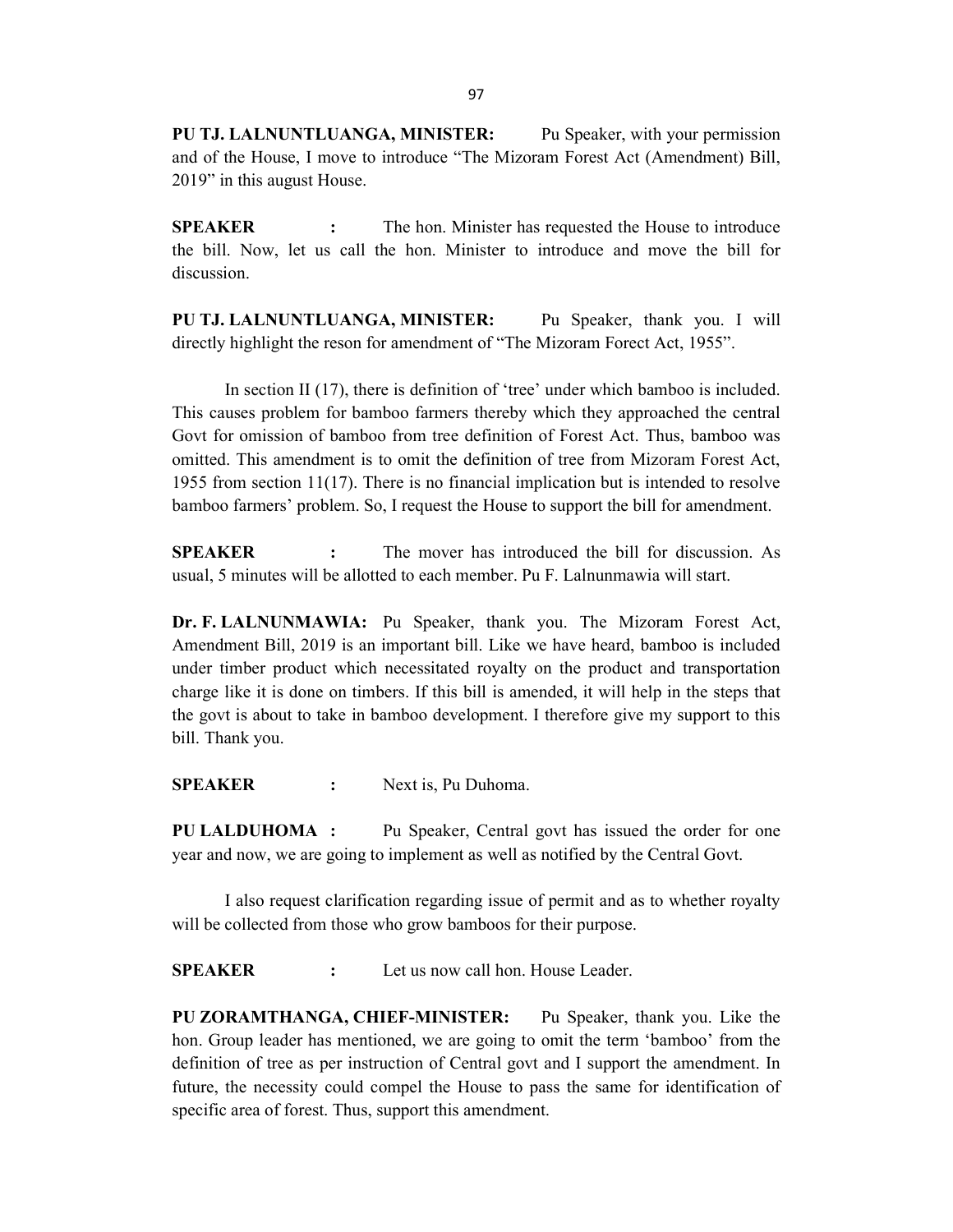PU TJ. LALNUNTLUANGA, MINISTER: Pu Speaker, with your permission and of the House, I move to introduce "The Mizoram Forest Act (Amendment) Bill, 2019" in this august House.

**SPEAKER** : The hon. Minister has requested the House to introduce the bill. Now, let us call the hon. Minister to introduce and move the bill for discussion.

PU TJ. LALNUNTLUANGA, MINISTER: Pu Speaker, thank you. I will directly highlight the reson for amendment of "The Mizoram Forect Act, 1955".

 In section II (17), there is definition of 'tree' under which bamboo is included. This causes problem for bamboo farmers thereby which they approached the central Govt for omission of bamboo from tree definition of Forest Act. Thus, bamboo was omitted. This amendment is to omit the definition of tree from Mizoram Forest Act, 1955 from section 11(17). There is no financial implication but is intended to resolve bamboo farmers' problem. So, I request the House to support the bill for amendment.

SPEAKER : The mover has introduced the bill for discussion. As usual, 5 minutes will be allotted to each member. Pu F. Lalnunmawia will start.

Dr. F. LALNUNMAWIA: Pu Speaker, thank you. The Mizoram Forest Act, Amendment Bill, 2019 is an important bill. Like we have heard, bamboo is included under timber product which necessitated royalty on the product and transportation charge like it is done on timbers. If this bill is amended, it will help in the steps that the govt is about to take in bamboo development. I therefore give my support to this bill. Thank you.

SPEAKER : Next is, Pu Duhoma.

PU LALDUHOMA : Pu Speaker, Central govt has issued the order for one year and now, we are going to implement as well as notified by the Central Govt.

 I also request clarification regarding issue of permit and as to whether royalty will be collected from those who grow bamboos for their purpose.

SPEAKER : Let us now call hon. House Leader.

PU ZORAMTHANGA, CHIEF-MINISTER: Pu Speaker, thank you. Like the hon. Group leader has mentioned, we are going to omit the term 'bamboo' from the definition of tree as per instruction of Central govt and I support the amendment. In future, the necessity could compel the House to pass the same for identification of specific area of forest. Thus, support this amendment.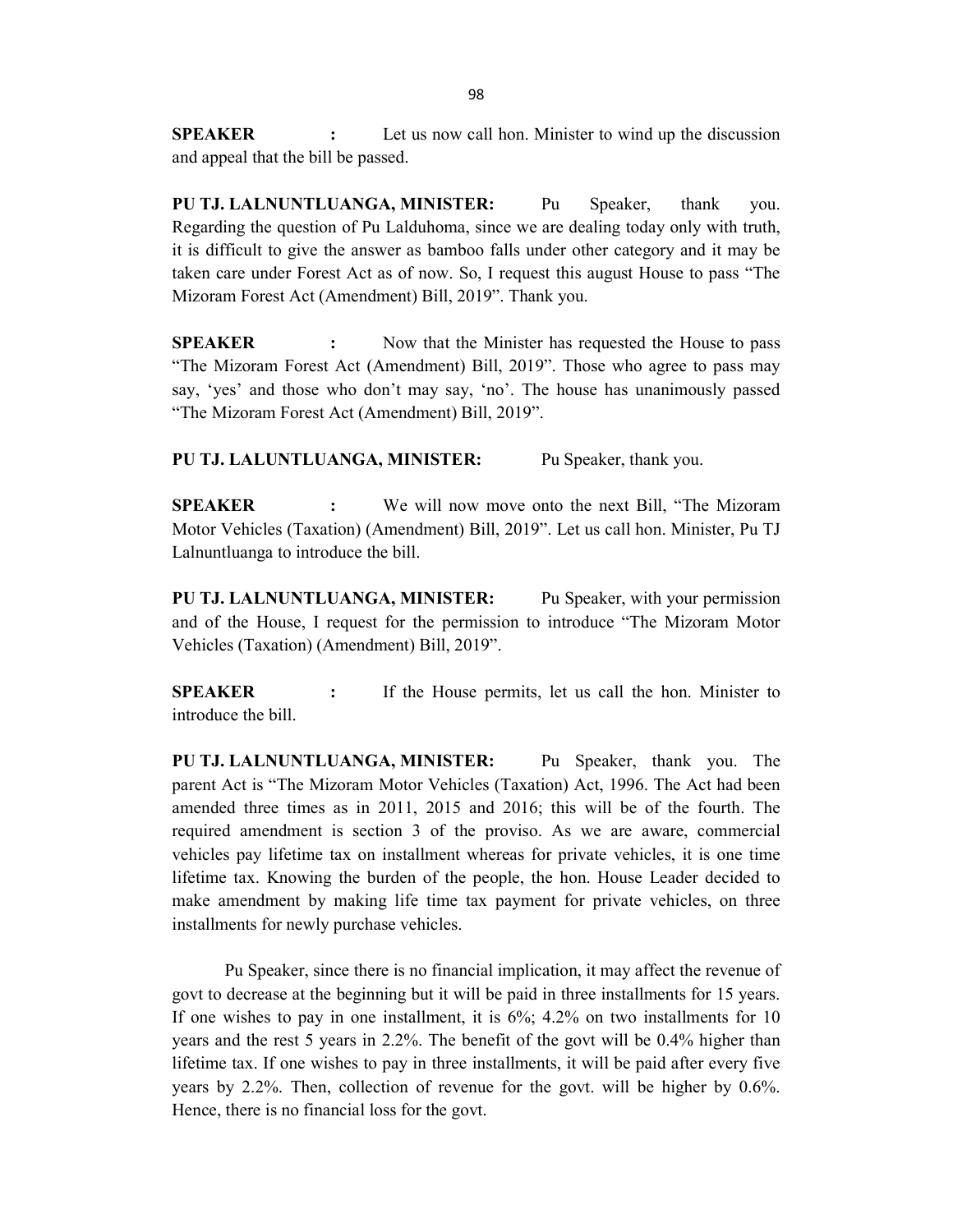**SPEAKER** : Let us now call hon. Minister to wind up the discussion and appeal that the bill be passed.

PU TJ. LALNUNTLUANGA, MINISTER: Pu Speaker, thank you. Regarding the question of Pu Lalduhoma, since we are dealing today only with truth, it is difficult to give the answer as bamboo falls under other category and it may be taken care under Forest Act as of now. So, I request this august House to pass "The Mizoram Forest Act (Amendment) Bill, 2019". Thank you.

**SPEAKER** : Now that the Minister has requested the House to pass "The Mizoram Forest Act (Amendment) Bill, 2019". Those who agree to pass may say, 'yes' and those who don't may say, 'no'. The house has unanimously passed "The Mizoram Forest Act (Amendment) Bill, 2019".

PU TJ. LALUNTLUANGA, MINISTER: Pu Speaker, thank you.

SPEAKER : We will now move onto the next Bill, "The Mizoram Motor Vehicles (Taxation) (Amendment) Bill, 2019". Let us call hon. Minister, Pu TJ Lalnuntluanga to introduce the bill.

PU TJ. LALNUNTLUANGA, MINISTER: Pu Speaker, with your permission and of the House, I request for the permission to introduce "The Mizoram Motor Vehicles (Taxation) (Amendment) Bill, 2019".

SPEAKER : If the House permits, let us call the hon. Minister to introduce the bill.

PU TJ. LALNUNTLUANGA, MINISTER: Pu Speaker, thank you. The parent Act is "The Mizoram Motor Vehicles (Taxation) Act, 1996. The Act had been amended three times as in 2011, 2015 and 2016; this will be of the fourth. The required amendment is section 3 of the proviso. As we are aware, commercial vehicles pay lifetime tax on installment whereas for private vehicles, it is one time lifetime tax. Knowing the burden of the people, the hon. House Leader decided to make amendment by making life time tax payment for private vehicles, on three installments for newly purchase vehicles.

Pu Speaker, since there is no financial implication, it may affect the revenue of govt to decrease at the beginning but it will be paid in three installments for 15 years. If one wishes to pay in one installment, it is 6%; 4.2% on two installments for 10 years and the rest 5 years in 2.2%. The benefit of the govt will be 0.4% higher than lifetime tax. If one wishes to pay in three installments, it will be paid after every five years by 2.2%. Then, collection of revenue for the govt. will be higher by 0.6%. Hence, there is no financial loss for the govt.